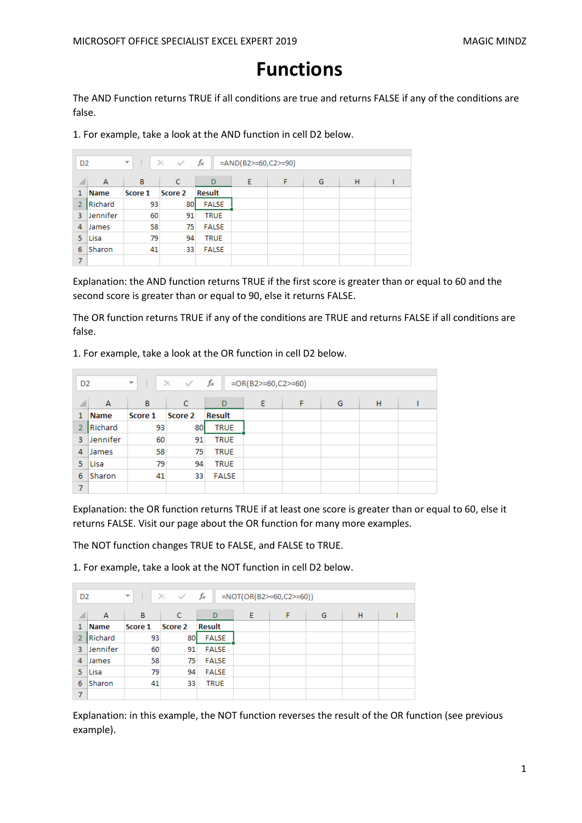# **Functions**

The AND Function returns TRUE if all conditions are true and returns FALSE if any of the conditions are false.

1. For example, take a look at the AND function in cell D2 below.

|                | fx<br>÷.<br>$\times$ $\checkmark$<br>$=$ AND(B2>=60,C2>=90)<br>$\overline{\mathbf v}$<br>D <sub>2</sub> |         |         |               |   |   |   |   |  |  |
|----------------|---------------------------------------------------------------------------------------------------------|---------|---------|---------------|---|---|---|---|--|--|
| ◢              | A                                                                                                       | в       | c       | D             | Ε | F | G | H |  |  |
| 1              | Name                                                                                                    | Score 1 | Score 2 | <b>Result</b> |   |   |   |   |  |  |
| $\overline{2}$ | Richard                                                                                                 | 93      | 80      | <b>FALSE</b>  |   |   |   |   |  |  |
| 3              | Jennifer                                                                                                | 60      | 91      | <b>TRUE</b>   |   |   |   |   |  |  |
| 4              | James                                                                                                   | 58      | 75      | <b>FALSE</b>  |   |   |   |   |  |  |
| 5              | Lisa                                                                                                    | 79      | 94      | <b>TRUE</b>   |   |   |   |   |  |  |
| 6              | Sharon                                                                                                  | 41      | 33      | <b>FALSE</b>  |   |   |   |   |  |  |
| 7              |                                                                                                         |         |         |               |   |   |   |   |  |  |

Explanation: the AND function returns TRUE if the first score is greater than or equal to 60 and the second score is greater than or equal to 90, else it returns FALSE.

The OR function returns TRUE if any of the conditions are TRUE and returns FALSE if all conditions are false.

1. For example, take a look at the OR function in cell D2 below.

|                | fx<br>÷.<br>$\times$ $\checkmark$<br>$=OR(B2)=60, C2>=60)$<br>$\overline{\mathbf{v}}$<br>D <sub>2</sub> |         |         |               |   |   |   |   |  |
|----------------|---------------------------------------------------------------------------------------------------------|---------|---------|---------------|---|---|---|---|--|
| ◢              | A                                                                                                       | B       | C       | D             | Ε | F | G | H |  |
| 1              | <b>Name</b>                                                                                             | Score 1 | Score 2 | <b>Result</b> |   |   |   |   |  |
| $\overline{2}$ | Richard                                                                                                 | 93      | 80      | <b>TRUE</b>   |   |   |   |   |  |
| з              | Jennifer                                                                                                | 60      | 91      | <b>TRUE</b>   |   |   |   |   |  |
| 4              | James                                                                                                   | 58      | 75      | <b>TRUE</b>   |   |   |   |   |  |
| 5              | Lisa                                                                                                    | 79      | 94      | <b>TRUE</b>   |   |   |   |   |  |
| 6              | Sharon                                                                                                  | 41      | 33      | <b>FALSE</b>  |   |   |   |   |  |
| 7              |                                                                                                         |         |         |               |   |   |   |   |  |

Explanation: the OR function returns TRUE if at least one score is greater than or equal to 60, else it returns FALSE. Visit our page about the OR function for many more examples.

The NOT function changes TRUE to FALSE, and FALSE to TRUE.

1. For example, take a look at the NOT function in cell D2 below.

|   | $f_x$<br>÷.<br>$\times$ $\checkmark$<br>$=NOT(OR(B2)=60,C2>=60))$<br>$\overline{\phantom{m}}$<br>D <sub>2</sub> |         |         |               |   |   |   |   |  |  |
|---|-----------------------------------------------------------------------------------------------------------------|---------|---------|---------------|---|---|---|---|--|--|
| ◢ | A                                                                                                               | в       | C       | D             | Ε | F | G | H |  |  |
| 1 | <b>Name</b>                                                                                                     | Score 1 | Score 2 | <b>Result</b> |   |   |   |   |  |  |
|   | Richard                                                                                                         | 93      | 80      | <b>FALSE</b>  |   |   |   |   |  |  |
| 3 | Jennifer                                                                                                        | 60      | 91      | <b>FALSE</b>  |   |   |   |   |  |  |
| 4 | James                                                                                                           | 58      | 75.     | <b>FALSE</b>  |   |   |   |   |  |  |
| 5 | Lisa                                                                                                            | 79      | 94      | <b>FALSE</b>  |   |   |   |   |  |  |
| 6 | Sharon                                                                                                          | 41      | 33      | <b>TRUE</b>   |   |   |   |   |  |  |
| 7 |                                                                                                                 |         |         |               |   |   |   |   |  |  |

Explanation: in this example, the NOT function reverses the result of the OR function (see previous example).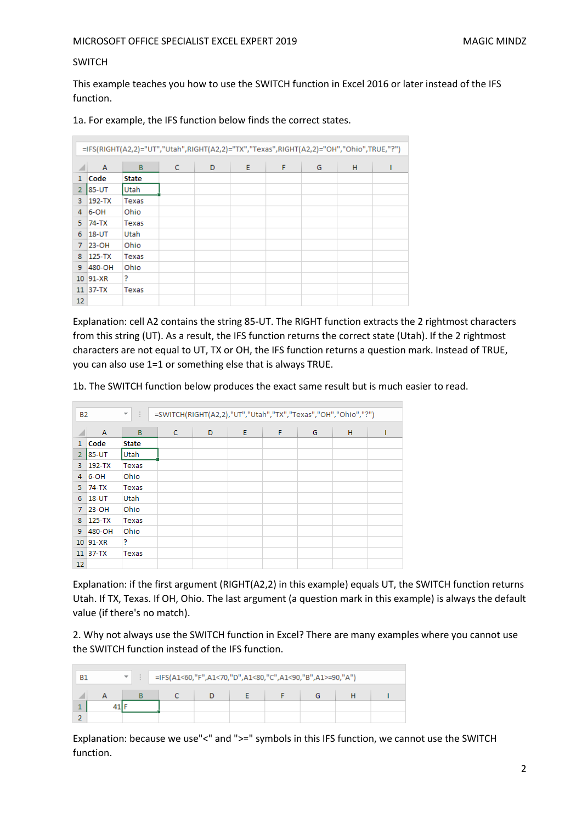#### SWITCH

This example teaches you how to use the SWITCH function in Excel 2016 or later instead of the IFS function.

1a. For example, the IFS function below finds the correct states.

|                | =IFS(RIGHT(A2,2)="UT","Utah",RIGHT(A2,2)="TX","Texas",RIGHT(A2,2)="OH","Ohio",TRUE,"?") |              |   |   |   |   |   |   |  |  |  |
|----------------|-----------------------------------------------------------------------------------------|--------------|---|---|---|---|---|---|--|--|--|
|                | A                                                                                       | B            | C | D | E | F | G | н |  |  |  |
| $\mathbf{1}$   | Code                                                                                    | <b>State</b> |   |   |   |   |   |   |  |  |  |
| $\overline{2}$ | 85-UT                                                                                   | <b>Utah</b>  |   |   |   |   |   |   |  |  |  |
| 3              | 192-TX                                                                                  | Texas        |   |   |   |   |   |   |  |  |  |
| 4              | 6-OH                                                                                    | Ohio         |   |   |   |   |   |   |  |  |  |
| 5              | 74-TX                                                                                   | Texas        |   |   |   |   |   |   |  |  |  |
| 6              | $18 - UT$                                                                               | Utah         |   |   |   |   |   |   |  |  |  |
| 7              | 23-OH                                                                                   | Ohio         |   |   |   |   |   |   |  |  |  |
| 8              | 125-TX                                                                                  | Texas        |   |   |   |   |   |   |  |  |  |
| 9              | 480-OH                                                                                  | Ohio         |   |   |   |   |   |   |  |  |  |
|                | 10 91-XR                                                                                | 5            |   |   |   |   |   |   |  |  |  |
|                | $11$ 37-TX                                                                              | Texas        |   |   |   |   |   |   |  |  |  |
| 12             |                                                                                         |              |   |   |   |   |   |   |  |  |  |

Explanation: cell A2 contains the string 85-UT. The RIGHT function extracts the 2 rightmost characters from this string (UT). As a result, the IFS function returns the correct state (Utah). If the 2 rightmost characters are not equal to UT, TX or OH, the IFS function returns a question mark. Instead of TRUE, you can also use 1=1 or something else that is always TRUE.

1b. The SWITCH function below produces the exact same result but is much easier to read.

| <b>B2</b>      |                | ÷<br>₩. |              | =SWITCH(RIGHT(A2,2),"UT","Utah","TX","Texas","OH","Ohio","?") |   |   |   |   |  |
|----------------|----------------|---------|--------------|---------------------------------------------------------------|---|---|---|---|--|
|                | $\overline{A}$ | B       | $\mathsf{C}$ | D                                                             | E | F | G | H |  |
| $\mathbf{1}$   | Code           | State   |              |                                                               |   |   |   |   |  |
| $\overline{2}$ | 85-UT          | Utah    |              |                                                               |   |   |   |   |  |
| 3              | 192-TX         | Texas   |              |                                                               |   |   |   |   |  |
| 4              | $6-OH$         | Ohio    |              |                                                               |   |   |   |   |  |
| 5.             | 74-TX          | Texas   |              |                                                               |   |   |   |   |  |
| 6              | $18 - UT$      | Utah    |              |                                                               |   |   |   |   |  |
| $\mathcal{I}$  | 23-OH          | Ohio    |              |                                                               |   |   |   |   |  |
| 8              | $ 125-TX$      | Texas   |              |                                                               |   |   |   |   |  |
| 9              | 480-OH         | Ohio    |              |                                                               |   |   |   |   |  |
|                | 10 91-XR       | P       |              |                                                               |   |   |   |   |  |
|                | $11$ 37-TX     | Texas   |              |                                                               |   |   |   |   |  |
| 12             |                |         |              |                                                               |   |   |   |   |  |

Explanation: if the first argument (RIGHT(A2,2) in this example) equals UT, the SWITCH function returns Utah. If TX, Texas. If OH, Ohio. The last argument (a question mark in this example) is always the default value (if there's no match).

2. Why not always use the SWITCH function in Excel? There are many examples where you cannot use the SWITCH function instead of the IFS function.

| B1 | $\overline{\phantom{a}}$ | $\parallel$ =IFS(A1<60,"F",A1<70,"D",A1<80,"C",A1<90,"B",A1>=90,"A") |  |  |  |  |  |  |  |  |
|----|--------------------------|----------------------------------------------------------------------|--|--|--|--|--|--|--|--|
|    |                          |                                                                      |  |  |  |  |  |  |  |  |
|    |                          |                                                                      |  |  |  |  |  |  |  |  |
|    |                          |                                                                      |  |  |  |  |  |  |  |  |

Explanation: because we use"<" and ">=" symbols in this IFS function, we cannot use the SWITCH function.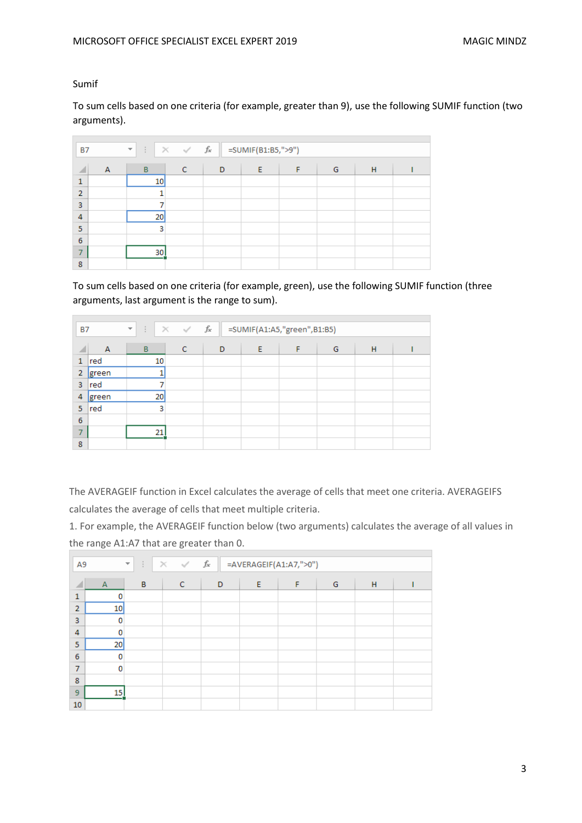Sumif

To sum cells based on one criteria (for example, greater than 9), use the following SUMIF function (two arguments).

|                | $\times$ $\hspace{0.1cm} \checkmark$ $\hspace{0.1cm}$ $f_{\!x}$<br>=SUMIF(B1:B5,">9")<br>÷.<br><b>B7</b><br>$\overline{\mathbf{v}}$ |    |   |   |   |   |   |   |  |  |
|----------------|-------------------------------------------------------------------------------------------------------------------------------------|----|---|---|---|---|---|---|--|--|
|                | Α                                                                                                                                   | B  | C | D | Ε | F | G | H |  |  |
| 1              |                                                                                                                                     | 10 |   |   |   |   |   |   |  |  |
| $\overline{2}$ |                                                                                                                                     |    |   |   |   |   |   |   |  |  |
| 3              |                                                                                                                                     |    |   |   |   |   |   |   |  |  |
| $\overline{4}$ |                                                                                                                                     | 20 |   |   |   |   |   |   |  |  |
| 5              |                                                                                                                                     | 3  |   |   |   |   |   |   |  |  |
| 6              |                                                                                                                                     |    |   |   |   |   |   |   |  |  |
| -              |                                                                                                                                     | 30 |   |   |   |   |   |   |  |  |
| 8              |                                                                                                                                     |    |   |   |   |   |   |   |  |  |

To sum cells based on one criteria (for example, green), use the following SUMIF function (three arguments, last argument is the range to sum).

|                 | $\times$ $\hspace{0.1cm} \checkmark$ $\hspace{0.1cm}$ $f_{\hspace{-0.1cm} \checkmark}$<br>=SUMIF(A1:A5,"green",B1:B5)<br>÷.<br><b>B7</b><br>$\overline{\mathcal{M}}$ |    |   |   |   |   |   |   |  |
|-----------------|----------------------------------------------------------------------------------------------------------------------------------------------------------------------|----|---|---|---|---|---|---|--|
|                 | $\overline{A}$                                                                                                                                                       | B  | C | D | E | F | G | H |  |
| 1               | red                                                                                                                                                                  | 10 |   |   |   |   |   |   |  |
| 2               | green                                                                                                                                                                |    |   |   |   |   |   |   |  |
| 3               | red                                                                                                                                                                  |    |   |   |   |   |   |   |  |
| 4               | green                                                                                                                                                                | 20 |   |   |   |   |   |   |  |
| 5               | red                                                                                                                                                                  | 3  |   |   |   |   |   |   |  |
| $6\phantom{1}6$ |                                                                                                                                                                      |    |   |   |   |   |   |   |  |
| ⇁               |                                                                                                                                                                      | 21 |   |   |   |   |   |   |  |
| 8               |                                                                                                                                                                      |    |   |   |   |   |   |   |  |

The AVERAGEIF function in Excel calculates the average of cells that meet one criteria. AVERAGEIFS calculates the average of cells that meet multiple criteria.

1. For example, the AVERAGEIF function below (two arguments) calculates the average of all values in the range A1:A7 that are greater than 0.

| A <sub>9</sub> | $f_{\!x}$<br>$\times$ $\hspace{0.1cm} \checkmark$<br>÷<br>=AVERAGEIF(A1:A7,">0")<br>$\overline{\phantom{a}}$ |   |   |   |   |   |   |   |  |  |
|----------------|--------------------------------------------------------------------------------------------------------------|---|---|---|---|---|---|---|--|--|
| ◢              | $\overline{A}$                                                                                               | B | C | D | E | F | G | н |  |  |
| $\mathbf{1}$   | 0                                                                                                            |   |   |   |   |   |   |   |  |  |
| $\overline{2}$ | 10                                                                                                           |   |   |   |   |   |   |   |  |  |
| 3              | 0                                                                                                            |   |   |   |   |   |   |   |  |  |
| $\overline{4}$ | 0                                                                                                            |   |   |   |   |   |   |   |  |  |
| 5              | 20                                                                                                           |   |   |   |   |   |   |   |  |  |
| 6              | 0                                                                                                            |   |   |   |   |   |   |   |  |  |
| $\overline{7}$ | 0                                                                                                            |   |   |   |   |   |   |   |  |  |
| 8              |                                                                                                              |   |   |   |   |   |   |   |  |  |
| 9              | 15 <sup>1</sup>                                                                                              |   |   |   |   |   |   |   |  |  |
| 10             |                                                                                                              |   |   |   |   |   |   |   |  |  |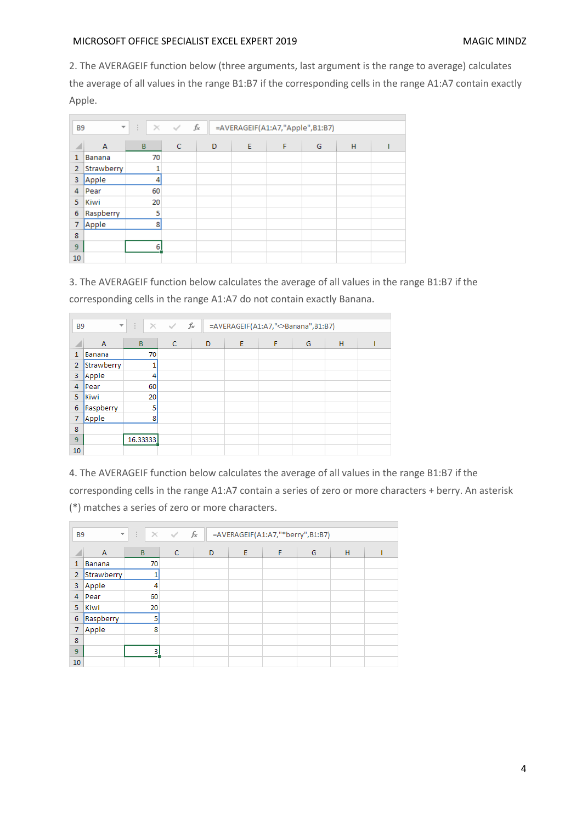2. The AVERAGEIF function below (three arguments, last argument is the range to average) calculates the average of all values in the range B1:B7 if the corresponding cells in the range A1:A7 contain exactly Apple.

| <b>B9</b>      | $\overline{\phantom{a}}$ | ÷  | $\times$ $\checkmark$ | fx | =AVERAGEIF(A1:A7,"Apple",B1:B7) |   |   |   |  |
|----------------|--------------------------|----|-----------------------|----|---------------------------------|---|---|---|--|
|                |                          |    |                       |    |                                 |   |   |   |  |
| ◢              | A                        | B  | $\mathsf{C}$          | D  | E                               | F | G | н |  |
| 1              | Banana                   | 70 |                       |    |                                 |   |   |   |  |
| $\overline{2}$ | Strawberry               |    |                       |    |                                 |   |   |   |  |
| 3              | Apple                    |    |                       |    |                                 |   |   |   |  |
| 4              | Pear                     | 60 |                       |    |                                 |   |   |   |  |
| 5              | Kiwi                     | 20 |                       |    |                                 |   |   |   |  |
| 6              | Raspberry                | 5  |                       |    |                                 |   |   |   |  |
| 7              | Apple                    | 8  |                       |    |                                 |   |   |   |  |
| 8              |                          |    |                       |    |                                 |   |   |   |  |
| 9              |                          | 6  |                       |    |                                 |   |   |   |  |
| 10             |                          |    |                       |    |                                 |   |   |   |  |

3. The AVERAGEIF function below calculates the average of all values in the range B1:B7 if the

| corresponding cells in the range A1:A7 do not contain exactly Banana. |  |
|-----------------------------------------------------------------------|--|
|-----------------------------------------------------------------------|--|

|                | fx<br>$\overline{\phantom{a}}$<br>÷.<br>$\times$ $\checkmark$<br>=AVERAGEIF(A1:A7," <banana",b1:b7)<br><b>B9</b></banana",b1:b7)<br> |          |              |   |   |   |   |   |  |  |
|----------------|--------------------------------------------------------------------------------------------------------------------------------------|----------|--------------|---|---|---|---|---|--|--|
| ◢              | A                                                                                                                                    | B        | $\mathsf{C}$ | D | E | F | G | H |  |  |
| $\mathbf{1}$   | Banana                                                                                                                               | 70       |              |   |   |   |   |   |  |  |
| $\overline{2}$ | Strawberry                                                                                                                           |          |              |   |   |   |   |   |  |  |
| 3              | Apple                                                                                                                                | 4        |              |   |   |   |   |   |  |  |
| 4              | Pear                                                                                                                                 | 60       |              |   |   |   |   |   |  |  |
| 5              | Kiwi                                                                                                                                 | 20       |              |   |   |   |   |   |  |  |
| 6              | Raspberry                                                                                                                            | 5        |              |   |   |   |   |   |  |  |
| 7              | Apple                                                                                                                                | 8        |              |   |   |   |   |   |  |  |
| 8              |                                                                                                                                      |          |              |   |   |   |   |   |  |  |
| 9              |                                                                                                                                      | 16.33333 |              |   |   |   |   |   |  |  |
| 10             |                                                                                                                                      |          |              |   |   |   |   |   |  |  |

4. The AVERAGEIF function below calculates the average of all values in the range B1:B7 if the corresponding cells in the range A1:A7 contain a series of zero or more characters + berry. An asterisk (\*) matches a series of zero or more characters.

| B <sub>9</sub> | $\times$ $\hspace{0.1cm} \hspace{0.1cm} \hspace{0.1cm} \hspace{0.1cm} f_{\hspace{-0.1cm}\text{x}}$<br>$\overline{\mathbf{v}}$ .<br>$\mathbb{R}^n$<br>=AVERAGEIF(A1:A7,"*berry",B1:B7) |    |              |   |   |   |   |   |  |  |
|----------------|---------------------------------------------------------------------------------------------------------------------------------------------------------------------------------------|----|--------------|---|---|---|---|---|--|--|
| ◢              | A                                                                                                                                                                                     | B  | $\mathsf{C}$ | D | E | F | G | H |  |  |
| 1              | Banana                                                                                                                                                                                | 70 |              |   |   |   |   |   |  |  |
| $\overline{2}$ | Strawberry                                                                                                                                                                            |    |              |   |   |   |   |   |  |  |
| 3              | Apple                                                                                                                                                                                 | 4  |              |   |   |   |   |   |  |  |
| 4              | Pear                                                                                                                                                                                  | 60 |              |   |   |   |   |   |  |  |
| 5.             | Kiwi                                                                                                                                                                                  | 20 |              |   |   |   |   |   |  |  |
| 6              | Raspberry                                                                                                                                                                             | 5  |              |   |   |   |   |   |  |  |
| 7              | Apple                                                                                                                                                                                 | 8  |              |   |   |   |   |   |  |  |
| 8              |                                                                                                                                                                                       |    |              |   |   |   |   |   |  |  |
| 9              |                                                                                                                                                                                       | 3  |              |   |   |   |   |   |  |  |
| 10             |                                                                                                                                                                                       |    |              |   |   |   |   |   |  |  |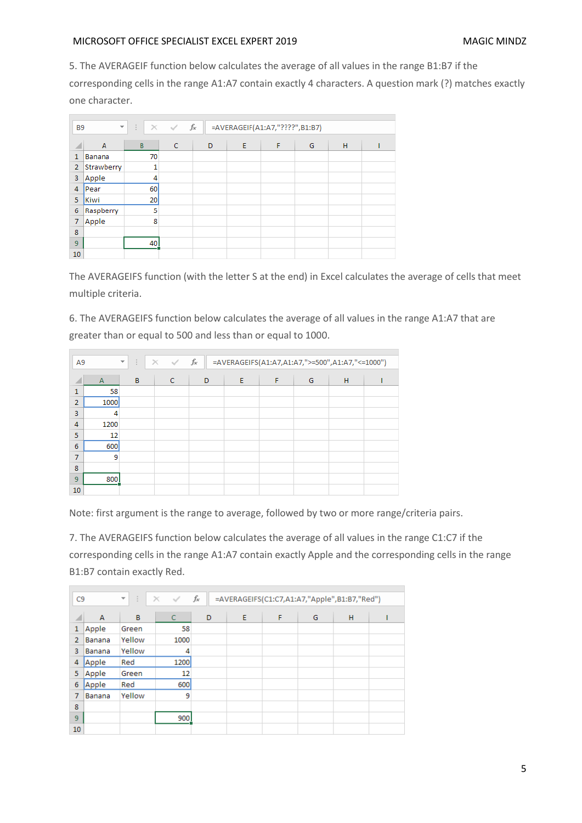5. The AVERAGEIF function below calculates the average of all values in the range B1:B7 if the

corresponding cells in the range A1:A7 contain exactly 4 characters. A question mark (?) matches exactly one character.

| <b>B9</b>      |                | $f_x$<br>$\times$ $\vee$<br>$\overline{\mathbf{v}}$<br>÷.<br>=AVERAGEIF(A1:A7,"????",B1:B7) |              |   |   |   |   |   |  |  |
|----------------|----------------|---------------------------------------------------------------------------------------------|--------------|---|---|---|---|---|--|--|
| A              | $\overline{A}$ | B                                                                                           | $\mathsf{C}$ | D | E | F | G | H |  |  |
| 1              | Banana         | 70                                                                                          |              |   |   |   |   |   |  |  |
| $\overline{2}$ | Strawberry     | 1                                                                                           |              |   |   |   |   |   |  |  |
| 3              | Apple          | 4                                                                                           |              |   |   |   |   |   |  |  |
| 4              | lPear.         | 60                                                                                          |              |   |   |   |   |   |  |  |
| 5              | Kiwi           | 20 <sub>2</sub>                                                                             |              |   |   |   |   |   |  |  |
| 6              | Raspberry      | 5                                                                                           |              |   |   |   |   |   |  |  |
| 7              | Apple          | 8                                                                                           |              |   |   |   |   |   |  |  |
| 8              |                |                                                                                             |              |   |   |   |   |   |  |  |
| 9              |                | 40                                                                                          |              |   |   |   |   |   |  |  |
| 10             |                |                                                                                             |              |   |   |   |   |   |  |  |

The AVERAGEIFS function (with the letter S at the end) in Excel calculates the average of cells that meet multiple criteria.

6. The AVERAGEIFS function below calculates the average of all values in the range A1:A7 that are greater than or equal to 500 and less than or equal to 1000.

| A <sub>9</sub> | fx<br>÷<br>$\times$<br>=AVERAGEIFS(A1:A7,A1:A7,">=500",A1:A7,"<=1000")<br>$\checkmark$<br>$\overline{\phantom{a}}$ |   |   |   |   |   |   |   |  |
|----------------|--------------------------------------------------------------------------------------------------------------------|---|---|---|---|---|---|---|--|
| ◢              | $\overline{A}$                                                                                                     | B | c | D | E | F | G | H |  |
| 1              | 58                                                                                                                 |   |   |   |   |   |   |   |  |
| $\overline{2}$ | 1000                                                                                                               |   |   |   |   |   |   |   |  |
| 3              | 4                                                                                                                  |   |   |   |   |   |   |   |  |
| 4              | 1200                                                                                                               |   |   |   |   |   |   |   |  |
| 5              | 12                                                                                                                 |   |   |   |   |   |   |   |  |
| 6              | 600                                                                                                                |   |   |   |   |   |   |   |  |
| 7              | 9                                                                                                                  |   |   |   |   |   |   |   |  |
| 8              |                                                                                                                    |   |   |   |   |   |   |   |  |
| 9              | 800                                                                                                                |   |   |   |   |   |   |   |  |
| 10             |                                                                                                                    |   |   |   |   |   |   |   |  |

Note: first argument is the range to average, followed by two or more range/criteria pairs.

7. The AVERAGEIFS function below calculates the average of all values in the range C1:C7 if the corresponding cells in the range A1:A7 contain exactly Apple and the corresponding cells in the range B1:B7 contain exactly Red.

| C <sub>9</sub> |        | ÷<br>$\overline{\phantom{a}}$ | $\times$<br>$\sim$ | fx<br>=AVERAGEIFS(C1:C7,A1:A7,"Apple",B1:B7,"Red") |   |   |   |   |  |
|----------------|--------|-------------------------------|--------------------|----------------------------------------------------|---|---|---|---|--|
| ◢              | A      | B                             | C                  | D                                                  | E | F | G | н |  |
| 1              | Apple  | Green                         | 58                 |                                                    |   |   |   |   |  |
| 2              | Banana | Yellow                        | 1000               |                                                    |   |   |   |   |  |
| 3              | Banana | Yellow                        | 4                  |                                                    |   |   |   |   |  |
| 4              | Apple  | Red                           | 1200               |                                                    |   |   |   |   |  |
| 5              | Apple  | Green                         | 12                 |                                                    |   |   |   |   |  |
| 6              | Apple  | Red                           | 600                |                                                    |   |   |   |   |  |
| 7              | Banana | Yellow                        | 9                  |                                                    |   |   |   |   |  |
| 8              |        |                               |                    |                                                    |   |   |   |   |  |
| 9              |        |                               | 900                |                                                    |   |   |   |   |  |
| 10             |        |                               |                    |                                                    |   |   |   |   |  |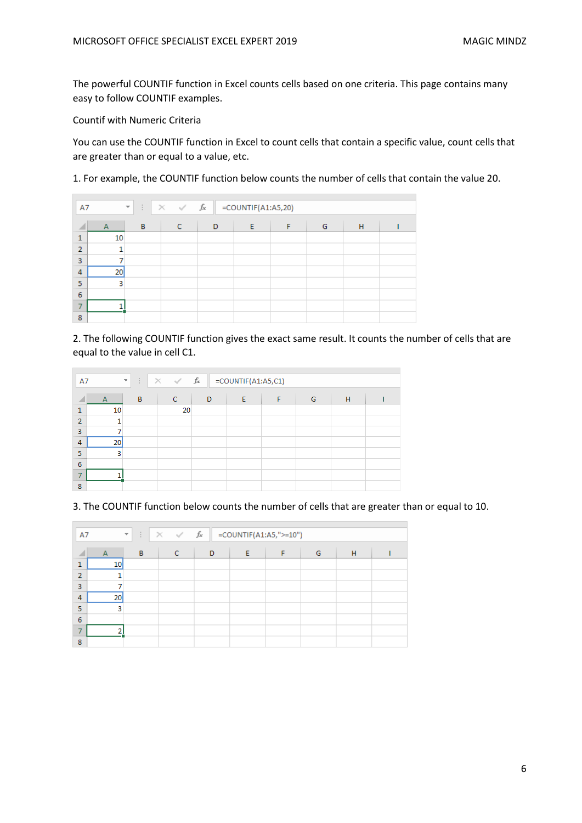The powerful COUNTIF function in Excel counts cells based on one criteria. This page contains many easy to follow COUNTIF examples.

Countif with Numeric Criteria

You can use the COUNTIF function in Excel to count cells that contain a specific value, count cells that are greater than or equal to a value, etc.

1. For example, the COUNTIF function below counts the number of cells that contain the value 20.

| A7             |                | ÷<br>$\overline{\mathbf{v}}$ | $\times$ $\checkmark$ fx |   | $=$ COUNTIF(A1:A5,20) |   |   |   |  |
|----------------|----------------|------------------------------|--------------------------|---|-----------------------|---|---|---|--|
| ◢              | $\overline{A}$ | B                            | c                        | D | E                     | F | G | н |  |
| n              | 10             |                              |                          |   |                       |   |   |   |  |
| $\overline{2}$ | ۰              |                              |                          |   |                       |   |   |   |  |
| 3              |                |                              |                          |   |                       |   |   |   |  |
| 4              | 20             |                              |                          |   |                       |   |   |   |  |
| 5              | 3              |                              |                          |   |                       |   |   |   |  |
| 6              |                |                              |                          |   |                       |   |   |   |  |
| 7              |                |                              |                          |   |                       |   |   |   |  |
| 8              |                |                              |                          |   |                       |   |   |   |  |

2. The following COUNTIF function gives the exact same result. It counts the number of cells that are equal to the value in cell C1.

| A7             | $\times$ $\checkmark$ fx<br>$=$ COUNTIF(A1:A5,C1)<br>÷.<br>$\overline{\phantom{a}}$ |   |    |   |   |   |   |   |  |
|----------------|-------------------------------------------------------------------------------------|---|----|---|---|---|---|---|--|
| ×              | $\overline{A}$                                                                      | B | c  | D | E | F | G | H |  |
| ٠              | 10                                                                                  |   | 20 |   |   |   |   |   |  |
| $\overline{2}$ | ٠                                                                                   |   |    |   |   |   |   |   |  |
| 3              |                                                                                     |   |    |   |   |   |   |   |  |
| 4              | 20                                                                                  |   |    |   |   |   |   |   |  |
| 5              | 3                                                                                   |   |    |   |   |   |   |   |  |
| 6              |                                                                                     |   |    |   |   |   |   |   |  |
| 7              |                                                                                     |   |    |   |   |   |   |   |  |
| 8              |                                                                                     |   |    |   |   |   |   |   |  |

3. The COUNTIF function below counts the number of cells that are greater than or equal to 10.

| A7              | $\times$ $\hspace{0.1cm} \hspace{0.1cm} \hspace{0.1cm} \hspace{0.1cm} f_{\hspace{-0.1cm}\text{x}}$<br>=COUNTIF(A1:A5,">=10")<br>÷<br>$\overline{\phantom{a}}$ |   |   |   |   |   |   |   |  |
|-----------------|---------------------------------------------------------------------------------------------------------------------------------------------------------------|---|---|---|---|---|---|---|--|
|                 | $\overline{A}$                                                                                                                                                | B | c | D | Æ | F | G | H |  |
| 1               | 10                                                                                                                                                            |   |   |   |   |   |   |   |  |
| $\overline{2}$  |                                                                                                                                                               |   |   |   |   |   |   |   |  |
| $\overline{3}$  |                                                                                                                                                               |   |   |   |   |   |   |   |  |
| $\overline{4}$  | 20                                                                                                                                                            |   |   |   |   |   |   |   |  |
| 5               | 3                                                                                                                                                             |   |   |   |   |   |   |   |  |
| $6\phantom{1}6$ |                                                                                                                                                               |   |   |   |   |   |   |   |  |
|                 |                                                                                                                                                               |   |   |   |   |   |   |   |  |
| 8               |                                                                                                                                                               |   |   |   |   |   |   |   |  |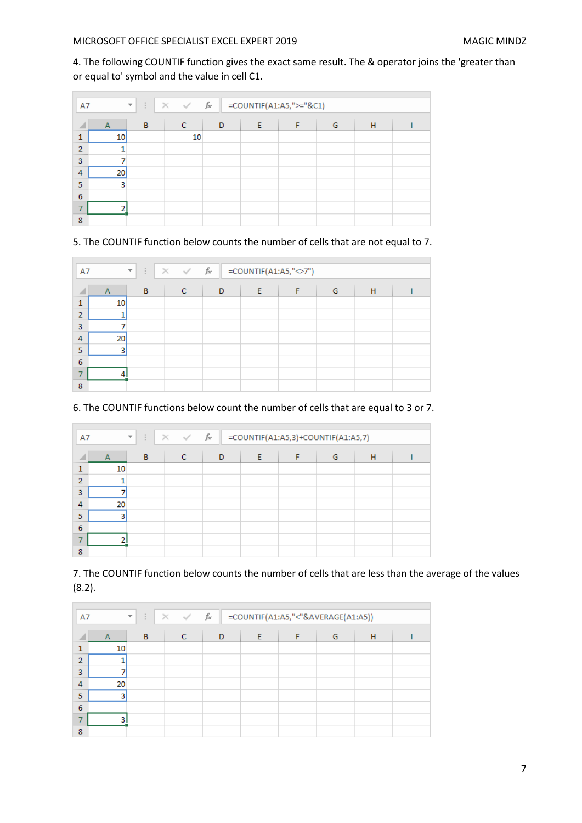4. The following COUNTIF function gives the exact same result. The & operator joins the 'greater than or equal to' symbol and the value in cell C1.

| A7             | $\times$ $\hspace{0.1cm} \hspace{0.1cm} \hspace{0.1cm} \hspace{0.1cm} f_{x}$<br>=COUNTIF(A1:A5,">="&C1)<br>÷.<br>$\overline{\mathcal{M}}$ |   |    |   |   |   |   |   |  |
|----------------|-------------------------------------------------------------------------------------------------------------------------------------------|---|----|---|---|---|---|---|--|
|                | $\overline{A}$                                                                                                                            | B | c  | D | Ε | F | G | H |  |
| 1              | 10                                                                                                                                        |   | 10 |   |   |   |   |   |  |
| <sup>2</sup>   |                                                                                                                                           |   |    |   |   |   |   |   |  |
| 3              |                                                                                                                                           |   |    |   |   |   |   |   |  |
| $\overline{4}$ | 20                                                                                                                                        |   |    |   |   |   |   |   |  |
| 5              | 3                                                                                                                                         |   |    |   |   |   |   |   |  |
| 6              |                                                                                                                                           |   |    |   |   |   |   |   |  |
|                |                                                                                                                                           |   |    |   |   |   |   |   |  |
| 8              |                                                                                                                                           |   |    |   |   |   |   |   |  |

5. The COUNTIF function below counts the number of cells that are not equal to 7.

| A7             | $\times$ $\checkmark$ fx<br>=COUNTIF(A1:A5,"<>7")<br>$\mathbb{R}^n$ .<br>$\overline{\mathcal{F}}$ |   |   |   |   |   |   |   |  |
|----------------|---------------------------------------------------------------------------------------------------|---|---|---|---|---|---|---|--|
|                | $\overline{A}$                                                                                    | B | c | D | F | F | G | H |  |
| 1              | 10                                                                                                |   |   |   |   |   |   |   |  |
| $\overline{2}$ |                                                                                                   |   |   |   |   |   |   |   |  |
| 3              |                                                                                                   |   |   |   |   |   |   |   |  |
| 4              | 20                                                                                                |   |   |   |   |   |   |   |  |
| 5              | 3                                                                                                 |   |   |   |   |   |   |   |  |
| 6              |                                                                                                   |   |   |   |   |   |   |   |  |
|                |                                                                                                   |   |   |   |   |   |   |   |  |
| 8              |                                                                                                   |   |   |   |   |   |   |   |  |

6. The COUNTIF functions below count the number of cells that are equal to 3 or 7.

| A7             |              | ÷.<br>$\overline{\phantom{a}}$ | $\times$ $\checkmark$ fx | =COUNTIF(A1:A5,3)+COUNTIF(A1:A5,7) |   |   |   |   |  |
|----------------|--------------|--------------------------------|--------------------------|------------------------------------|---|---|---|---|--|
|                | $\mathsf{A}$ | B                              | C                        | D                                  | E | F | G | H |  |
|                | 10           |                                |                          |                                    |   |   |   |   |  |
| $\overline{2}$ |              |                                |                          |                                    |   |   |   |   |  |
| 3              |              |                                |                          |                                    |   |   |   |   |  |
| 4              | 20           |                                |                          |                                    |   |   |   |   |  |
| 5              | 3            |                                |                          |                                    |   |   |   |   |  |
| 6              |              |                                |                          |                                    |   |   |   |   |  |
|                |              |                                |                          |                                    |   |   |   |   |  |
| 8              |              |                                |                          |                                    |   |   |   |   |  |

7. The COUNTIF function below counts the number of cells that are less than the average of the values (8.2).

| A7             |                | $\times$ $\checkmark$ fx<br>=COUNTIF(A1:A5,"<"&AVERAGE(A1:A5))<br>÷.<br>$\overline{\mathcal{M}}$ |   |   |   |   |   |   |  |
|----------------|----------------|--------------------------------------------------------------------------------------------------|---|---|---|---|---|---|--|
|                | $\overline{A}$ | B                                                                                                | c | D | F | F | G | H |  |
|                | 10             |                                                                                                  |   |   |   |   |   |   |  |
| $\overline{2}$ |                |                                                                                                  |   |   |   |   |   |   |  |
| 3              |                |                                                                                                  |   |   |   |   |   |   |  |
| 4              | 20             |                                                                                                  |   |   |   |   |   |   |  |
| 5              |                |                                                                                                  |   |   |   |   |   |   |  |
| 6              |                |                                                                                                  |   |   |   |   |   |   |  |
|                | ٩              |                                                                                                  |   |   |   |   |   |   |  |
| 8              |                |                                                                                                  |   |   |   |   |   |   |  |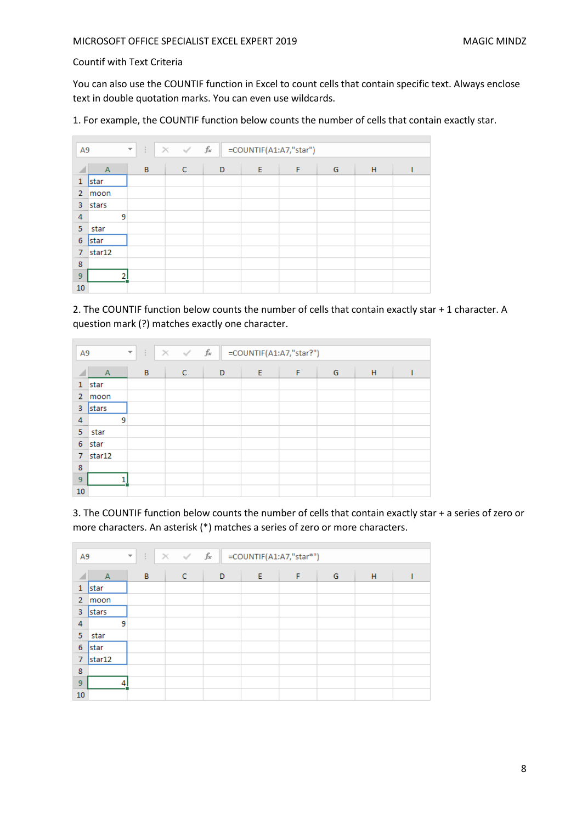## Countif with Text Criteria

You can also use the COUNTIF function in Excel to count cells that contain specific text. Always enclose text in double quotation marks. You can even use wildcards.

1. For example, the COUNTIF function below counts the number of cells that contain exactly star.

| A <sub>9</sub> | $\times$ $\hspace{0.1cm} \hspace{0.1cm} \hspace{0.1cm} \hspace{0.1cm} f_{x}$<br>=COUNTIF(A1:A7,"star")<br>÷<br>$\overline{\mathcal{F}}$ |   |   |             |   |   |   |   |   |  |
|----------------|-----------------------------------------------------------------------------------------------------------------------------------------|---|---|-------------|---|---|---|---|---|--|
|                | $\overline{A}$                                                                                                                          |   | B | $\mathbf C$ | D | Ε | F | G | H |  |
| 1              | star                                                                                                                                    |   |   |             |   |   |   |   |   |  |
| 2              | moon                                                                                                                                    |   |   |             |   |   |   |   |   |  |
| 3              | stars                                                                                                                                   |   |   |             |   |   |   |   |   |  |
| 4              |                                                                                                                                         | 9 |   |             |   |   |   |   |   |  |
| 5              | star                                                                                                                                    |   |   |             |   |   |   |   |   |  |
| 6              | star                                                                                                                                    |   |   |             |   |   |   |   |   |  |
| 7              | star12                                                                                                                                  |   |   |             |   |   |   |   |   |  |
| 8              |                                                                                                                                         |   |   |             |   |   |   |   |   |  |
| 9              |                                                                                                                                         | ŋ |   |             |   |   |   |   |   |  |
| 10             |                                                                                                                                         |   |   |             |   |   |   |   |   |  |

2. The COUNTIF function below counts the number of cells that contain exactly star + 1 character. A question mark (?) matches exactly one character.

| A9             | $\times$ $\hspace{0.1cm}$ $\hspace{0.1cm}\not\hspace{0.1cm}$ $\hspace{0.1cm}$ $\hspace{0.1cm}$ $\hspace{0.1cm}$ $\hspace{0.1cm}$ $\hspace{0.1cm}$ $\hspace{0.1cm}$ $\hspace{0.1cm}$ $\hspace{0.1cm}$ $\hspace{0.1cm}$ $\hspace{0.1cm}$ $\hspace{0.1cm}$<br>$\mathbb{R}^{\mathbb{Z}}$<br>=COUNTIF(A1:A7,"star?")<br>$\overline{\phantom{a}}$ |   |   |   |   |   |   |   |  |  |  |
|----------------|---------------------------------------------------------------------------------------------------------------------------------------------------------------------------------------------------------------------------------------------------------------------------------------------------------------------------------------------|---|---|---|---|---|---|---|--|--|--|
|                | $\overline{A}$                                                                                                                                                                                                                                                                                                                              | B | C | D | E | F | G | H |  |  |  |
| $\mathbf{1}$   | star                                                                                                                                                                                                                                                                                                                                        |   |   |   |   |   |   |   |  |  |  |
| $\overline{2}$ | moon                                                                                                                                                                                                                                                                                                                                        |   |   |   |   |   |   |   |  |  |  |
| 3              | stars                                                                                                                                                                                                                                                                                                                                       |   |   |   |   |   |   |   |  |  |  |
| 4              |                                                                                                                                                                                                                                                                                                                                             | 9 |   |   |   |   |   |   |  |  |  |
| 5              | star                                                                                                                                                                                                                                                                                                                                        |   |   |   |   |   |   |   |  |  |  |
| 6              | star                                                                                                                                                                                                                                                                                                                                        |   |   |   |   |   |   |   |  |  |  |
| $\overline{7}$ | star12                                                                                                                                                                                                                                                                                                                                      |   |   |   |   |   |   |   |  |  |  |
| 8              |                                                                                                                                                                                                                                                                                                                                             |   |   |   |   |   |   |   |  |  |  |
| 9              |                                                                                                                                                                                                                                                                                                                                             |   |   |   |   |   |   |   |  |  |  |
| 10             |                                                                                                                                                                                                                                                                                                                                             |   |   |   |   |   |   |   |  |  |  |

3. The COUNTIF function below counts the number of cells that contain exactly star + a series of zero or more characters. An asterisk (\*) matches a series of zero or more characters.

| A9             |                | ÷.<br>$\overline{\phantom{a}}$ | $\times$ $\hspace{0.1cm}$ $\hspace{0.1cm}\not\sim$ $\hspace{0.1cm}$ $f_{\hspace{-0.1cm}x}$ |   |   | =COUNTIF(A1:A7,"star*") |   |   |  |
|----------------|----------------|--------------------------------|--------------------------------------------------------------------------------------------|---|---|-------------------------|---|---|--|
|                | $\overline{A}$ | B                              | $\mathsf{C}$                                                                               | D | E | F                       | G | H |  |
| 1              | star           |                                |                                                                                            |   |   |                         |   |   |  |
| $\overline{2}$ | moon           |                                |                                                                                            |   |   |                         |   |   |  |
| 3              | stars          |                                |                                                                                            |   |   |                         |   |   |  |
| 4              |                | 9                              |                                                                                            |   |   |                         |   |   |  |
| 5              | star           |                                |                                                                                            |   |   |                         |   |   |  |
| 6              | star           |                                |                                                                                            |   |   |                         |   |   |  |
| 7              | star12         |                                |                                                                                            |   |   |                         |   |   |  |
| 8              |                |                                |                                                                                            |   |   |                         |   |   |  |
| 9              |                | 4                              |                                                                                            |   |   |                         |   |   |  |
| 10             |                |                                |                                                                                            |   |   |                         |   |   |  |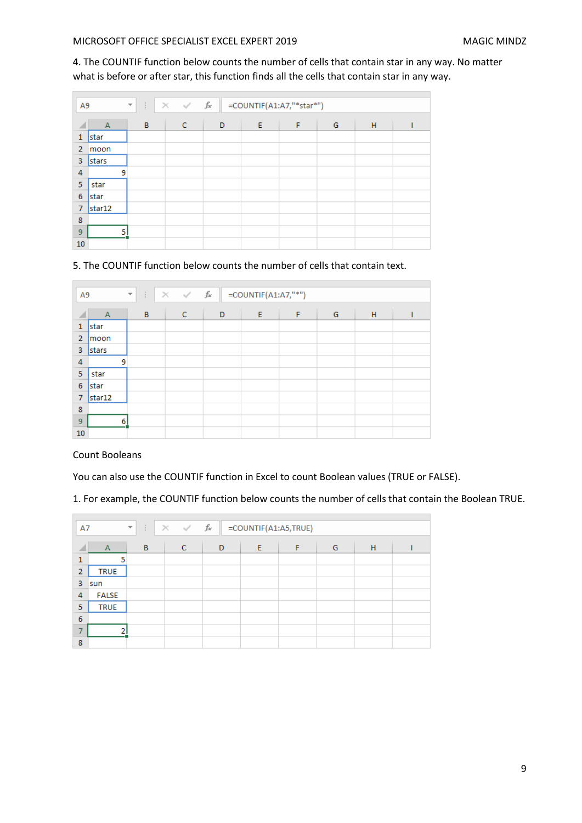4. The COUNTIF function below counts the number of cells that contain star in any way. No matter what is before or after star, this function finds all the cells that contain star in any way.

| A <sub>9</sub> | $\times$ $\hspace{0.1cm} \hspace{0.1cm} \hspace{0.1cm} \hspace{0.1cm} f_{x}$<br>=COUNTIF(A1:A7,"*star*")<br>÷.<br>$\overline{\mathbf v}$ |   |             |   |   |   |   |   |  |
|----------------|------------------------------------------------------------------------------------------------------------------------------------------|---|-------------|---|---|---|---|---|--|
|                | $\overline{A}$                                                                                                                           | B | $\mathbf C$ | D | E | F | G | H |  |
| 1              | star                                                                                                                                     |   |             |   |   |   |   |   |  |
| $\overline{2}$ | moon                                                                                                                                     |   |             |   |   |   |   |   |  |
| 3              | stars                                                                                                                                    |   |             |   |   |   |   |   |  |
| 4              | 9                                                                                                                                        |   |             |   |   |   |   |   |  |
| 5              | star                                                                                                                                     |   |             |   |   |   |   |   |  |
| 6              | <b>star</b>                                                                                                                              |   |             |   |   |   |   |   |  |
| 7              | star12                                                                                                                                   |   |             |   |   |   |   |   |  |
| 8              |                                                                                                                                          |   |             |   |   |   |   |   |  |
| 9              | 5                                                                                                                                        |   |             |   |   |   |   |   |  |
| 10             |                                                                                                                                          |   |             |   |   |   |   |   |  |

## 5. The COUNTIF function below counts the number of cells that contain text.

| A <sub>9</sub> | $\times$ $\hspace{0.1cm}$ $\hspace{0.1cm}\not\sim$ $\hspace{0.1cm}$ $f_{\hspace{-0.1cm}x}$<br>$=$ COUNTIF(A1:A7,"*")<br>÷<br>$\overline{\mathbf{v}}$ |   |             |   |   |   |   |   |  |
|----------------|------------------------------------------------------------------------------------------------------------------------------------------------------|---|-------------|---|---|---|---|---|--|
|                | $\overline{A}$                                                                                                                                       | B | $\mathbf C$ | D | E | F | G | H |  |
| 1              | star                                                                                                                                                 |   |             |   |   |   |   |   |  |
| $\overline{2}$ | lmoon                                                                                                                                                |   |             |   |   |   |   |   |  |
| 3              | <b>Istars</b>                                                                                                                                        |   |             |   |   |   |   |   |  |
| 4              | 9                                                                                                                                                    |   |             |   |   |   |   |   |  |
| 5              | star                                                                                                                                                 |   |             |   |   |   |   |   |  |
| 6              | <b>Istar</b>                                                                                                                                         |   |             |   |   |   |   |   |  |
| $\overline{7}$ | star12                                                                                                                                               |   |             |   |   |   |   |   |  |
| 8              |                                                                                                                                                      |   |             |   |   |   |   |   |  |
| 9              | 6                                                                                                                                                    |   |             |   |   |   |   |   |  |
| 10             |                                                                                                                                                      |   |             |   |   |   |   |   |  |

Count Booleans

You can also use the COUNTIF function in Excel to count Boolean values (TRUE or FALSE).

1. For example, the COUNTIF function below counts the number of cells that contain the Boolean TRUE.

| A7             |                | ÷<br>$\overline{\phantom{a}}$ | $\times$ $\hspace{0.1cm}$ $\hspace{0.1cm}\not\hspace{0.1cm}$ $\hspace{0.1cm}$ $\hspace{0.1cm}$ $\hspace{0.1cm}$ $\hspace{0.1cm}$ $\hspace{0.1cm}$ $\hspace{0.1cm}$ $\hspace{0.1cm}$ $\hspace{0.1cm}$ $\hspace{0.1cm}$ $\hspace{0.1cm}$ $\hspace{0.1cm}$ |   | =COUNTIF(A1:A5,TRUE) |   |   |   |  |
|----------------|----------------|-------------------------------|---------------------------------------------------------------------------------------------------------------------------------------------------------------------------------------------------------------------------------------------------------|---|----------------------|---|---|---|--|
|                |                |                               |                                                                                                                                                                                                                                                         |   |                      |   |   |   |  |
|                | $\overline{A}$ | B                             | C                                                                                                                                                                                                                                                       | D | Ε                    | F | G | H |  |
| 1              |                |                               |                                                                                                                                                                                                                                                         |   |                      |   |   |   |  |
| $\overline{2}$ | <b>TRUE</b>    |                               |                                                                                                                                                                                                                                                         |   |                      |   |   |   |  |
| 3              | sun            |                               |                                                                                                                                                                                                                                                         |   |                      |   |   |   |  |
| 4              | <b>FALSE</b>   |                               |                                                                                                                                                                                                                                                         |   |                      |   |   |   |  |
| 5              | <b>TRUE</b>    |                               |                                                                                                                                                                                                                                                         |   |                      |   |   |   |  |
| 6              |                |                               |                                                                                                                                                                                                                                                         |   |                      |   |   |   |  |
| ⇁              |                |                               |                                                                                                                                                                                                                                                         |   |                      |   |   |   |  |
| 8              |                |                               |                                                                                                                                                                                                                                                         |   |                      |   |   |   |  |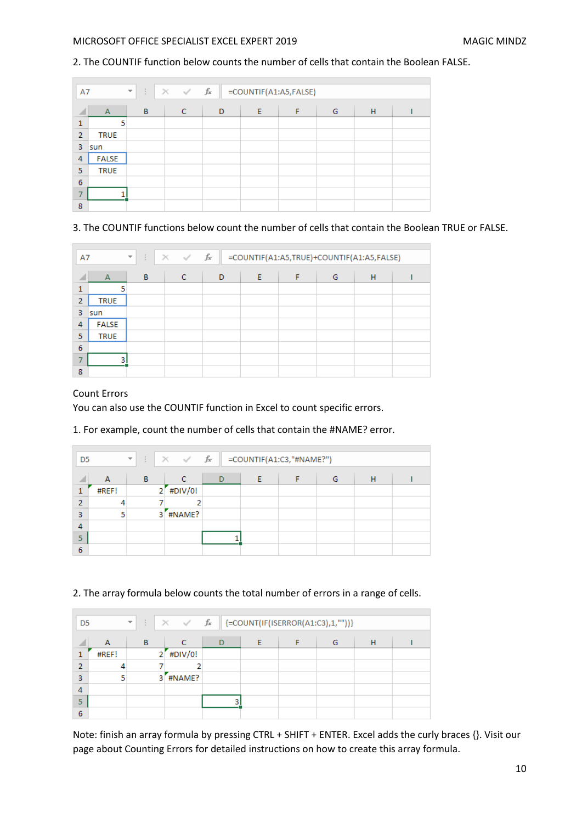## 2. The COUNTIF function below counts the number of cells that contain the Boolean FALSE.

| A7             | $\times$ $\hspace{0.1cm} \checkmark$ $\hspace{0.1cm}$ $f_{\!x}$<br>=COUNTIF(A1:A5,FALSE)<br>÷.<br>$\overline{\nabla}$ |   |   |   |   |   |   |   |  |
|----------------|-----------------------------------------------------------------------------------------------------------------------|---|---|---|---|---|---|---|--|
|                | $\overline{A}$                                                                                                        | B | c | D | E | F | G | H |  |
| 1              | 5                                                                                                                     |   |   |   |   |   |   |   |  |
| $\overline{2}$ | <b>TRUE</b>                                                                                                           |   |   |   |   |   |   |   |  |
| 3              | sun                                                                                                                   |   |   |   |   |   |   |   |  |
| 4              | <b>FALSE</b>                                                                                                          |   |   |   |   |   |   |   |  |
| 5              | <b>TRUE</b>                                                                                                           |   |   |   |   |   |   |   |  |
| 6              |                                                                                                                       |   |   |   |   |   |   |   |  |
| ⇁              |                                                                                                                       |   |   |   |   |   |   |   |  |
| 8              |                                                                                                                       |   |   |   |   |   |   |   |  |

## 3. The COUNTIF functions below count the number of cells that contain the Boolean TRUE or FALSE.

| A7             |              | $f_x$<br>$\times$ $\checkmark$<br>÷<br>=COUNTIF(A1:A5,TRUE)+COUNTIF(A1:A5,FALSE)<br>$\overline{\mathcal{M}}$ |   |   |   |   |   |   |  |
|----------------|--------------|--------------------------------------------------------------------------------------------------------------|---|---|---|---|---|---|--|
| 4              | A            | B                                                                                                            | c | D | E | F | G | H |  |
| 1              | 5            |                                                                                                              |   |   |   |   |   |   |  |
| $\overline{2}$ | <b>TRUE</b>  |                                                                                                              |   |   |   |   |   |   |  |
| 3              | sun          |                                                                                                              |   |   |   |   |   |   |  |
| 4              | <b>FALSE</b> |                                                                                                              |   |   |   |   |   |   |  |
| 5              | <b>TRUE</b>  |                                                                                                              |   |   |   |   |   |   |  |
| 6              |              |                                                                                                              |   |   |   |   |   |   |  |
|                | 3            |                                                                                                              |   |   |   |   |   |   |  |
| 8              |              |                                                                                                              |   |   |   |   |   |   |  |

## Count Errors

ř.

You can also use the COUNTIF function in Excel to count specific errors.

#### 1. For example, count the number of cells that contain the #NAME? error.

| D <sub>5</sub> |       | $\times$ $\hspace{0.1cm}\raisebox{0.1cm}{\textstyle\hspace{0.1cm}\swarrow\hspace{0.1cm}}}$ $f_{\hspace{-0.1cm}\raisebox{0.1cm}{\textstyle\hspace{0.1cm}\swarrow\hspace{0.1cm}}}$<br>$\mathbb{R}^+$<br>=COUNTIF(A1:C3,"#NAME?")<br>$\overline{\nabla}$ |               |   |   |  |   |   |  |
|----------------|-------|-------------------------------------------------------------------------------------------------------------------------------------------------------------------------------------------------------------------------------------------------------|---------------|---|---|--|---|---|--|
| a.             | A     | B                                                                                                                                                                                                                                                     | C             | D | Ε |  | G | н |  |
| 1              | #REF! |                                                                                                                                                                                                                                                       | #DIV/0!<br>21 |   |   |  |   |   |  |
| $\overline{2}$ | 4     |                                                                                                                                                                                                                                                       | 2             |   |   |  |   |   |  |
| 3              | 5     |                                                                                                                                                                                                                                                       | #NAME?<br>3   |   |   |  |   |   |  |
| 4              |       |                                                                                                                                                                                                                                                       |               |   |   |  |   |   |  |
| 5              |       |                                                                                                                                                                                                                                                       |               |   |   |  |   |   |  |
| 6              |       |                                                                                                                                                                                                                                                       |               |   |   |  |   |   |  |

## 2. The array formula below counts the total number of errors in a range of cells.

| D <sub>5</sub> |       | $\overline{\mathcal{F}}$ . | $\begin{array}{cc} \begin{array}{c} \hline \end{array} & \times \end{array}$ $\begin{array}{cc} \hline \end{array}$ $\begin{array}{cc} \hline \end{array}$ $\begin{array}{cc} \hline \end{array}$ $\begin{array}{cc} \hline \end{array}$ $\begin{array}{cc} \hline \end{array}$ $\begin{array}{cc} \hline \end{array}$ $\begin{array}{cc} \hline \end{array}$ $\begin{array}{cc} \hline \end{array}$ $\begin{array}{cc} \hline \end{array}$ $\begin{array}{cc} \hline \end{array}$ $\begin{array}{cc}$ |   |  |   |   |  |
|----------------|-------|----------------------------|--------------------------------------------------------------------------------------------------------------------------------------------------------------------------------------------------------------------------------------------------------------------------------------------------------------------------------------------------------------------------------------------------------------------------------------------------------------------------------------------------------|---|--|---|---|--|
|                | A     | в                          |                                                                                                                                                                                                                                                                                                                                                                                                                                                                                                        | D |  | G | н |  |
|                | #REF! | $\overline{2}$             | #DIV/0!                                                                                                                                                                                                                                                                                                                                                                                                                                                                                                |   |  |   |   |  |
| 2              |       |                            |                                                                                                                                                                                                                                                                                                                                                                                                                                                                                                        |   |  |   |   |  |
| 3              | 5     | 3                          | #NAME?                                                                                                                                                                                                                                                                                                                                                                                                                                                                                                 |   |  |   |   |  |
| 4              |       |                            |                                                                                                                                                                                                                                                                                                                                                                                                                                                                                                        |   |  |   |   |  |
| 5              |       |                            |                                                                                                                                                                                                                                                                                                                                                                                                                                                                                                        |   |  |   |   |  |
| 6              |       |                            |                                                                                                                                                                                                                                                                                                                                                                                                                                                                                                        |   |  |   |   |  |

Note: finish an array formula by pressing CTRL + SHIFT + ENTER. Excel adds the curly braces {}. Visit our page about Counting Errors for detailed instructions on how to create this array formula.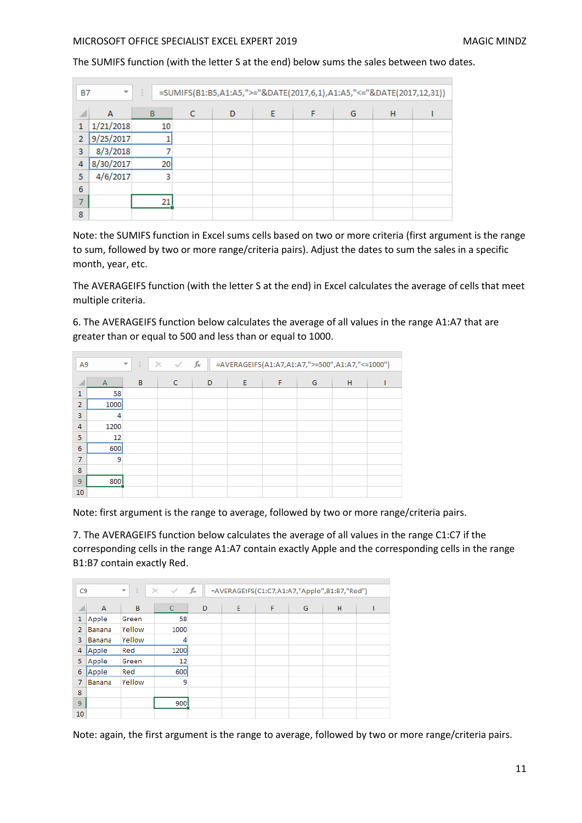The SUMIFS function (with the letter S at the end) below sums the sales between two dates.

| <b>B7</b> | $\overline{\mathbf{v}}$ | H.<br>=SUMIFS(B1:B5,A1:A5,">="&DATE(2017,6,1),A1:A5,"<="&DATE(2017,12,31)) |   |   |   |  |   |   |  |  |  |  |
|-----------|-------------------------|----------------------------------------------------------------------------|---|---|---|--|---|---|--|--|--|--|
|           | A                       | B                                                                          | C | D | E |  | G | H |  |  |  |  |
|           | 1/21/2018               | 10                                                                         |   |   |   |  |   |   |  |  |  |  |
| 2         | 9/25/2017               |                                                                            |   |   |   |  |   |   |  |  |  |  |
| 3         | 8/3/2018                |                                                                            |   |   |   |  |   |   |  |  |  |  |
| 4         | 8/30/2017               | 20 <sub>2</sub>                                                            |   |   |   |  |   |   |  |  |  |  |
| 5         | 4/6/2017                | 3                                                                          |   |   |   |  |   |   |  |  |  |  |
| 6         |                         |                                                                            |   |   |   |  |   |   |  |  |  |  |
|           |                         | 21                                                                         |   |   |   |  |   |   |  |  |  |  |
| 8         |                         |                                                                            |   |   |   |  |   |   |  |  |  |  |

Note: the SUMIFS function in Excel sums cells based on two or more criteria (first argument is the range to sum, followed by two or more range/criteria pairs). Adjust the dates to sum the sales in a specific month, year, etc.

The AVERAGEIFS function (with the letter S at the end) in Excel calculates the average of cells that meet multiple criteria.

6. The AVERAGEIFS function below calculates the average of all values in the range A1:A7 that are greater than or equal to 500 and less than or equal to 1000.

| A <sub>9</sub> |              | $f_x$<br>÷<br>$\times$<br>=AVERAGEIFS(A1:A7,A1:A7,">=500",A1:A7,"<=1000")<br>$\checkmark$<br>$\overline{\phantom{a}}$ |              |   |   |   |   |   |  |
|----------------|--------------|-----------------------------------------------------------------------------------------------------------------------|--------------|---|---|---|---|---|--|
| ◢              | $\mathsf{A}$ | B                                                                                                                     | $\mathsf{C}$ | D | E | F | G | H |  |
| 1              | 58           |                                                                                                                       |              |   |   |   |   |   |  |
| $\overline{2}$ | 1000         |                                                                                                                       |              |   |   |   |   |   |  |
| 3              | 4            |                                                                                                                       |              |   |   |   |   |   |  |
| 4              | 1200         |                                                                                                                       |              |   |   |   |   |   |  |
| 5              | 12           |                                                                                                                       |              |   |   |   |   |   |  |
| 6              | 600          |                                                                                                                       |              |   |   |   |   |   |  |
| 7              | 9            |                                                                                                                       |              |   |   |   |   |   |  |
| 8              |              |                                                                                                                       |              |   |   |   |   |   |  |
| 9              | 800          |                                                                                                                       |              |   |   |   |   |   |  |
| 10             |              |                                                                                                                       |              |   |   |   |   |   |  |

Note: first argument is the range to average, followed by two or more range/criteria pairs.

7. The AVERAGEIFS function below calculates the average of all values in the range C1:C7 if the corresponding cells in the range A1:A7 contain exactly Apple and the corresponding cells in the range B1:B7 contain exactly Red.

| C <sub>9</sub> |                | ÷.<br>$\overline{\phantom{a}}$ | $\checkmark$<br>$\times$ | fx |   |   | =AVERAGEIFS(C1:C7,A1:A7,"Apple",B1:B7,"Red") |   |  |
|----------------|----------------|--------------------------------|--------------------------|----|---|---|----------------------------------------------|---|--|
|                | $\overline{A}$ | B                              | C                        | D  | E | F | G                                            | H |  |
|                |                |                                |                          |    |   |   |                                              |   |  |
| 1              | Apple          | Green                          | 58                       |    |   |   |                                              |   |  |
| 2              | Banana         | Yellow                         | 1000                     |    |   |   |                                              |   |  |
| 3              | Banana         | Yellow                         | 4                        |    |   |   |                                              |   |  |
| 4              | Apple          | Red                            | 1200                     |    |   |   |                                              |   |  |
| 5              | Apple          | Green                          | 12                       |    |   |   |                                              |   |  |
| 6              | Apple          | Red                            | 600                      |    |   |   |                                              |   |  |
| 7              | Banana         | Yellow                         | 9                        |    |   |   |                                              |   |  |
| 8              |                |                                |                          |    |   |   |                                              |   |  |
| 9              |                |                                | 900                      |    |   |   |                                              |   |  |
| 10             |                |                                |                          |    |   |   |                                              |   |  |

Note: again, the first argument is the range to average, followed by two or more range/criteria pairs.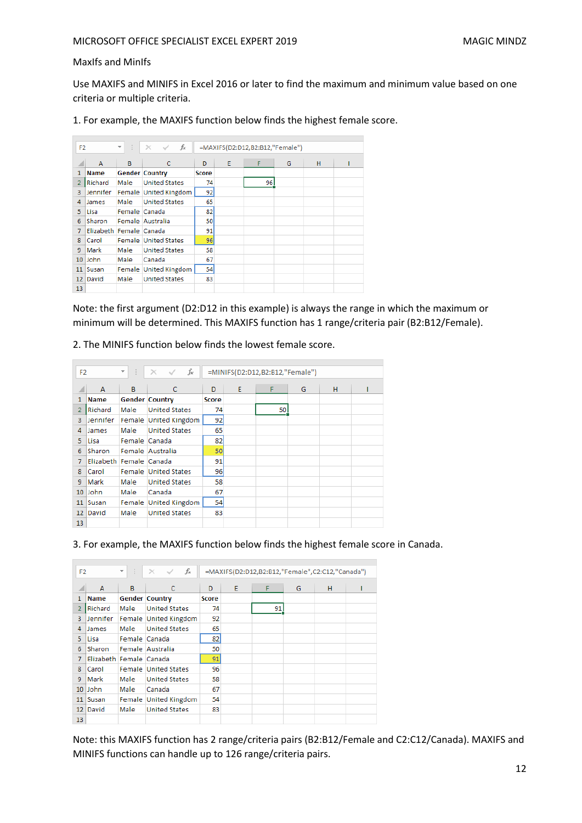## MaxIfs and MinIfs

Use MAXIFS and MINIFS in Excel 2016 or later to find the maximum and minimum value based on one criteria or multiple criteria.

1. For example, the MAXIFS function below finds the highest female score.

| F <sub>2</sub>  |                         | $\overline{\phantom{a}}$ | fx<br>$\times$              |       |   | =MAXIFS(D2:D12,B2:B12,"Female") |   |   |  |
|-----------------|-------------------------|--------------------------|-----------------------------|-------|---|---------------------------------|---|---|--|
|                 | B<br>A                  |                          | C                           | D     | E | F                               | G | H |  |
| 1               | <b>Name</b>             |                          | <b>Gender Country</b>       | Score |   |                                 |   |   |  |
| $\overline{2}$  | Richard                 | Male                     | <b>United States</b>        | 74    |   | 96                              |   |   |  |
| 3               | Jennifer                |                          | Female United Kingdom       | 92    |   |                                 |   |   |  |
| 4               | <b>James</b>            | Male                     | <b>United States</b>        | 65    |   |                                 |   |   |  |
| 5               | Lisa                    | Female Canada            |                             | 82    |   |                                 |   |   |  |
| 6               | Sharon                  |                          | Female Australia            | 50    |   |                                 |   |   |  |
| 7               | Elizabeth Female Canada |                          |                             | 91    |   |                                 |   |   |  |
| 8               | Carol                   |                          | <b>Female United States</b> | 96    |   |                                 |   |   |  |
| 9               | Mark                    | Male                     | <b>United States</b>        | 58    |   |                                 |   |   |  |
| 10              | <b>John</b>             | Male                     | Canada                      | 67    |   |                                 |   |   |  |
| 11              | Susan                   |                          | Female United Kingdom       | 54    |   |                                 |   |   |  |
| 12 <sup>1</sup> | David                   | Male                     | <b>United States</b>        | 83    |   |                                 |   |   |  |
| 13              |                         |                          |                             |       |   |                                 |   |   |  |

Note: the first argument (D2:D12 in this example) is always the range in which the maximum or minimum will be determined. This MAXIFS function has 1 range/criteria pair (B2:B12/Female).

2. The MINIFS function below finds the lowest female score.

|                 | ¢<br>$\times$<br>F <sub>2</sub><br>$\overline{\phantom{a}}$ |               |                       | =MINIFS(D2:D12,B2:B12,"Female") |   |    |   |   |  |
|-----------------|-------------------------------------------------------------|---------------|-----------------------|---------------------------------|---|----|---|---|--|
|                 | A                                                           | B             | C                     | D                               | E | F  | G | н |  |
| 1               | Name                                                        |               | <b>Gender Country</b> | Score                           |   |    |   |   |  |
| 2               | Richard                                                     | Male          | <b>United States</b>  | 74                              |   | 50 |   |   |  |
| 3               | Jennifer                                                    |               | Female United Kingdom | 92                              |   |    |   |   |  |
| 4               | James                                                       | Male          | <b>United States</b>  | 65                              |   |    |   |   |  |
| 5               | Lisa                                                        | Female Canada |                       | 82                              |   |    |   |   |  |
| 6               | Sharon                                                      |               | Female Australia      | 50                              |   |    |   |   |  |
| 7               | Elizabeth Female Canada                                     |               |                       | 91                              |   |    |   |   |  |
| 8               | Carol                                                       |               | Female United States  | 96                              |   |    |   |   |  |
| 9               | Mark                                                        | Male          | <b>United States</b>  | 58                              |   |    |   |   |  |
| 10              | John                                                        | Male          | Canada                | 67                              |   |    |   |   |  |
| 11              | Susan                                                       |               | Female United Kingdom | 54                              |   |    |   |   |  |
| 12 <sup>1</sup> | David                                                       | Male          | <b>United States</b>  | 83                              |   |    |   |   |  |
| 13              |                                                             |               |                       |                                 |   |    |   |   |  |

3. For example, the MAXIFS function below finds the highest female score in Canada.

| F <sub>2</sub> |             | $\overline{\mathbf{v}}$ | fx<br>$\times$ $\checkmark$ |       |   | =MAXIFS(D2:D12,B2:B12,"Female",C2:C12,"Canada") |   |   |  |
|----------------|-------------|-------------------------|-----------------------------|-------|---|-------------------------------------------------|---|---|--|
|                | A           | B                       | C                           | D     | E | F                                               | G | н |  |
| 1              | <b>Name</b> |                         | <b>Gender Country</b>       | Score |   |                                                 |   |   |  |
|                | Richard     | Male                    | <b>United States</b>        | 74    |   | 91                                              |   |   |  |
| 3              | Jennifer    |                         | Female United Kingdom       | 92    |   |                                                 |   |   |  |
| 4              | James       | Male                    | <b>United States</b>        | 65    |   |                                                 |   |   |  |
| 5.             | Lisa        | Female Canada           |                             | 82    |   |                                                 |   |   |  |
| 6              | Sharon      |                         | Female Australia            | 50    |   |                                                 |   |   |  |
| 7              | Elizabeth   | Female Canada           |                             | 91    |   |                                                 |   |   |  |
| 8              | Carol       |                         | Female United States        | 96    |   |                                                 |   |   |  |
| 9              | Mark        | Male                    | <b>United States</b>        | 58    |   |                                                 |   |   |  |
| 10             | John        | Male                    | Canada                      | 67    |   |                                                 |   |   |  |
| 11             | Susan       |                         | Female United Kingdom       | 54    |   |                                                 |   |   |  |
| 12             | David       | Male                    | <b>United States</b>        | 83    |   |                                                 |   |   |  |
| 13             |             |                         |                             |       |   |                                                 |   |   |  |

Note: this MAXIFS function has 2 range/criteria pairs (B2:B12/Female and C2:C12/Canada). MAXIFS and MINIFS functions can handle up to 126 range/criteria pairs.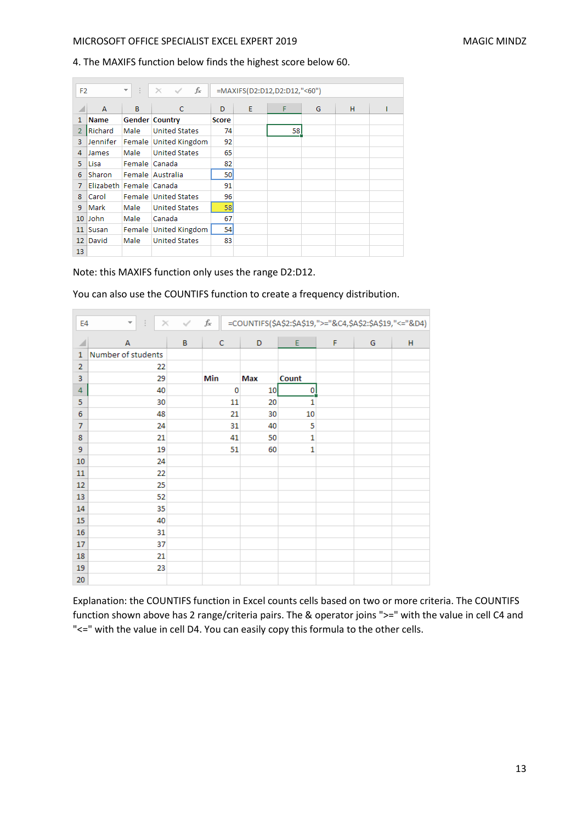## 4. The MAXIFS function below finds the highest score below 60.

| F <sub>2</sub>  |                         | <b>CELL</b><br>▼. | $\times$ $\checkmark$ fx    |              |   | =MAXIFS(D2:D12,D2:D12,"<60") |   |   |  |
|-----------------|-------------------------|-------------------|-----------------------------|--------------|---|------------------------------|---|---|--|
|                 | A                       | B                 | $\mathsf{C}$                | D            | E | F                            | G | H |  |
| 1               | <b>Name</b>             |                   | <b>Gender Country</b>       | <b>Score</b> |   |                              |   |   |  |
| 2               | Richard                 | Male              | <b>United States</b>        | 74           |   | 58                           |   |   |  |
| 3               | Jennifer                |                   | Female United Kingdom       | 92           |   |                              |   |   |  |
| 4               | James                   | Male              | <b>United States</b>        | 65           |   |                              |   |   |  |
| 5               | Lisa                    | Female Canada     |                             | 82           |   |                              |   |   |  |
| 6               | Sharon                  |                   | Female Australia            | 50           |   |                              |   |   |  |
| 7               | Elizabeth Female Canada |                   |                             | 91           |   |                              |   |   |  |
| 8               | Carol                   |                   | <b>Female United States</b> | 96           |   |                              |   |   |  |
| 9               | Mark                    | Male              | <b>United States</b>        | 58           |   |                              |   |   |  |
| 10 <sup>°</sup> | John                    | Male              | Canada                      | 67           |   |                              |   |   |  |
| 11              | Susan                   |                   | Female United Kingdom       | 54           |   |                              |   |   |  |
| 12 <sup>2</sup> | David                   | Male              | <b>United States</b>        | 83           |   |                              |   |   |  |
| 13              |                         |                   |                             |              |   |                              |   |   |  |

Note: this MAXIFS function only uses the range D2:D12.

 $\overline{\phantom{a}}$ 

You can also use the COUNTIFS function to create a frequency distribution.

| E4             | $\overline{\mathbf{v}}$ | ÷<br>$\times$ | $\checkmark$ | $f_{x}% ^{r}=\int_{0}^{T}f_{x}\left( t\right) \cdot T_{x}^{r}\left( t\right) \cdot T_{x}^{r}$ |     | =COUNTIFS(\$A\$2:\$A\$19,">="&C4,\$A\$2:\$A\$19,"<="&D4) |   |   |   |
|----------------|-------------------------|---------------|--------------|-----------------------------------------------------------------------------------------------|-----|----------------------------------------------------------|---|---|---|
|                | A                       |               | B            | $\mathbf C$                                                                                   | D   | E                                                        | F | G | н |
| $\mathbf{1}$   | Number of students      |               |              |                                                                                               |     |                                                          |   |   |   |
| $\overline{2}$ |                         | 22            |              |                                                                                               |     |                                                          |   |   |   |
| 3              |                         | 29            |              | Min                                                                                           | Max | Count                                                    |   |   |   |
| 4              |                         | 40            |              | 0                                                                                             | 10  | $\boldsymbol{0}$<br>-1                                   |   |   |   |
| 5              |                         | 30            |              | 11                                                                                            | 20  | 1                                                        |   |   |   |
| 6              |                         | 48            |              | 21                                                                                            | 30  | 10                                                       |   |   |   |
| 7              |                         | 24            |              | 31                                                                                            | 40  | 5                                                        |   |   |   |
| 8              |                         | 21            |              | 41                                                                                            | 50  | 1                                                        |   |   |   |
| 9              |                         | 19            |              | 51                                                                                            | 60  | $\mathbf{1}$                                             |   |   |   |
| 10             |                         | 24            |              |                                                                                               |     |                                                          |   |   |   |
| 11             |                         | 22            |              |                                                                                               |     |                                                          |   |   |   |
| 12             |                         | 25            |              |                                                                                               |     |                                                          |   |   |   |
| 13             |                         | 52            |              |                                                                                               |     |                                                          |   |   |   |
| 14             |                         | 35            |              |                                                                                               |     |                                                          |   |   |   |
| 15             |                         | 40            |              |                                                                                               |     |                                                          |   |   |   |
| 16             |                         | 31            |              |                                                                                               |     |                                                          |   |   |   |
| 17             |                         | 37            |              |                                                                                               |     |                                                          |   |   |   |
| 18             |                         | 21            |              |                                                                                               |     |                                                          |   |   |   |
| 19             |                         | 23            |              |                                                                                               |     |                                                          |   |   |   |
| 20             |                         |               |              |                                                                                               |     |                                                          |   |   |   |

Explanation: the COUNTIFS function in Excel counts cells based on two or more criteria. The COUNTIFS function shown above has 2 range/criteria pairs. The & operator joins ">=" with the value in cell C4 and "<=" with the value in cell D4. You can easily copy this formula to the other cells.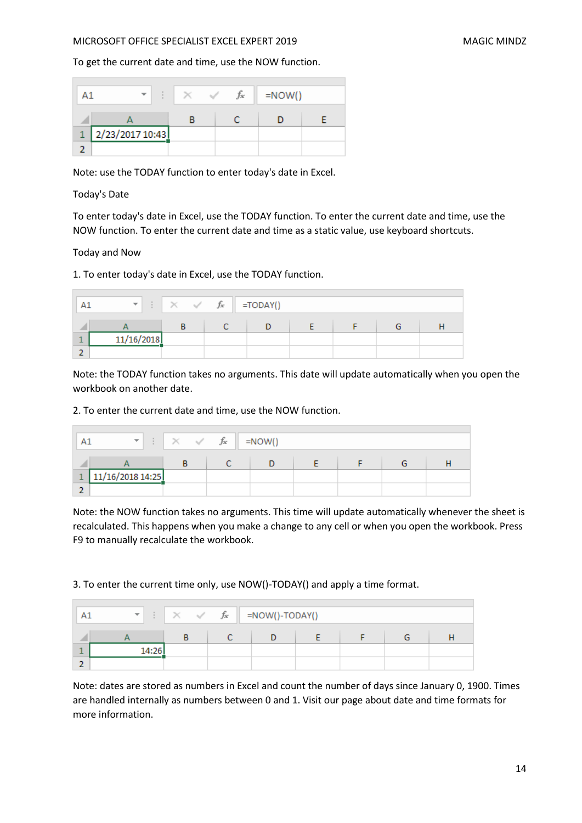To get the current date and time, use the NOW function.

|   |                 |  | fx | $=$ NOW() |  |
|---|-----------------|--|----|-----------|--|
|   |                 |  |    |           |  |
| 1 | 2/23/2017 10:43 |  |    |           |  |
|   |                 |  |    |           |  |

Note: use the TODAY function to enter today's date in Excel.

## Today's Date

To enter today's date in Excel, use the TODAY function. To enter the current date and time, use the NOW function. To enter the current date and time as a static value, use keyboard shortcuts.

Today and Now

1. To enter today's date in Excel, use the TODAY function.

| m.         | $\begin{array}{ c c c c c }\n\hline\n\vdots & \times & \checkmark & f_{x} & \text{=TODAY()}\n\end{array}$ |  |  |  |
|------------|-----------------------------------------------------------------------------------------------------------|--|--|--|
|            |                                                                                                           |  |  |  |
| 11/16/2018 |                                                                                                           |  |  |  |
|            |                                                                                                           |  |  |  |

Note: the TODAY function takes no arguments. This date will update automatically when you open the workbook on another date.

2. To enter the current date and time, use the NOW function.

| $\overline{\phantom{a}}$ | $\sim$ | fx | $= NOW()$ |  |  |
|--------------------------|--------|----|-----------|--|--|
|                          |        |    |           |  |  |
| 11/16/2018 14:25         |        |    |           |  |  |
|                          |        |    |           |  |  |

Note: the NOW function takes no arguments. This time will update automatically whenever the sheet is recalculated. This happens when you make a change to any cell or when you open the workbook. Press F9 to manually recalculate the workbook.

3. To enter the current time only, use NOW()-TODAY() and apply a time format.

| $\overline{\phantom{a}}$ |        | fx | =NOW()-TODAY() |  |  |  |  |
|--------------------------|--------|----|----------------|--|--|--|--|
|                          |        |    |                |  |  |  |  |
|                          | 14:26' |    |                |  |  |  |  |
|                          |        |    |                |  |  |  |  |

Note: dates are stored as numbers in Excel and count the number of days since January 0, 1900. Times are handled internally as numbers between 0 and 1. Visit our page about date and time formats for more information.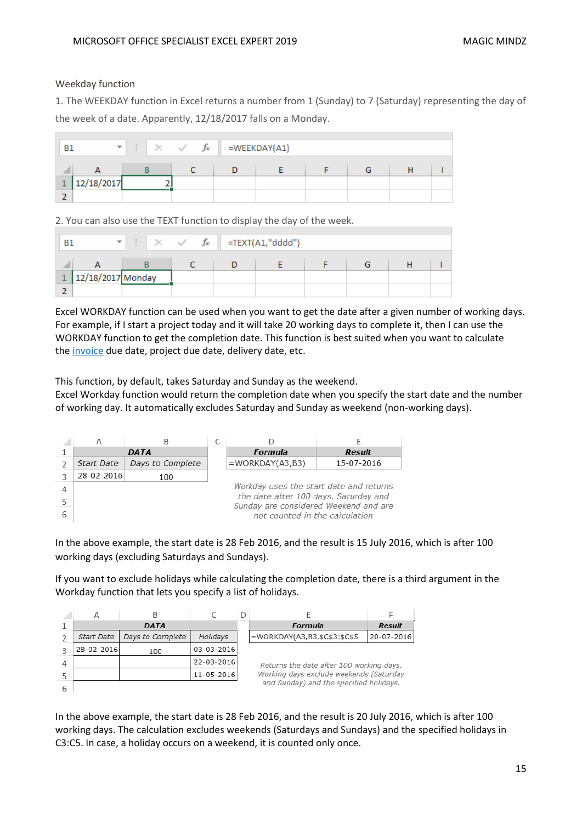## Weekday function

1. The WEEKDAY function in Excel returns a number from 1 (Sunday) to 7 (Saturday) representing the day of the week of a date. Apparently, 12/18/2017 falls on a Monday.

| <b>B1</b> | $\overline{\phantom{a}}$ | $\sim$ | fx | =WEEKDAY(A1) |  |  |  |  |  |
|-----------|--------------------------|--------|----|--------------|--|--|--|--|--|
|           |                          |        |    |              |  |  |  |  |  |
|           | 12/18/2017               |        |    |              |  |  |  |  |  |
|           |                          |        |    |              |  |  |  |  |  |

2. You can also use the TEXT function to display the day of the week.

| <b>B1</b> | $\overline{\phantom{a}}$ | $f_x$ | =TEXT(A1,"dddd") |  |  |  |  |  |
|-----------|--------------------------|-------|------------------|--|--|--|--|--|
|           |                          |       |                  |  |  |  |  |  |
|           | 12/18/2017 Monday        |       |                  |  |  |  |  |  |
|           |                          |       |                  |  |  |  |  |  |

Excel WORKDAY function can be used when you want to get the date after a given number of working days. For example, if I start a project today and it will take 20 working days to complete it, then I can use the WORKDAY function to get the completion date. This function is best suited when you want to calculate the [invoice](https://trumpexcel.com/invoice-generator-pdf/) due date, project due date, delivery date, etc.

This function, by default, takes Saturday and Sunday as the weekend.

Excel Workday function would return the completion date when you specify the start date and the number of working day. It automatically excludes Saturday and Sunday as weekend (non-working days).

| А          |                  |                                                                                |               |
|------------|------------------|--------------------------------------------------------------------------------|---------------|
|            | DATA             | Formula                                                                        | <b>Result</b> |
| Start Date | Days to Complete | $=$ WORKDAY(A3,B3)                                                             | 15-07-2016    |
| 28-02-2016 | 100              |                                                                                |               |
|            |                  | Workday uses the start date and returns                                        |               |
|            |                  | the date after 100 days. Saturday and<br>Sunday are considered Weekend and are |               |
|            |                  | not counted in the calculation                                                 |               |

In the above example, the start date is 28 Feb 2016, and the result is 15 July 2016, which is after 100 working days (excluding Saturdays and Sundays).

If you want to exclude holidays while calculating the completion date, there is a third argument in the Workday function that lets you specify a list of holidays.



In the above example, the start date is 28 Feb 2016, and the result is 20 July 2016, which is after 100 working days. The calculation excludes weekends (Saturdays and Sundays) and the specified holidays in C3:C5. In case, a holiday occurs on a weekend, it is counted only once.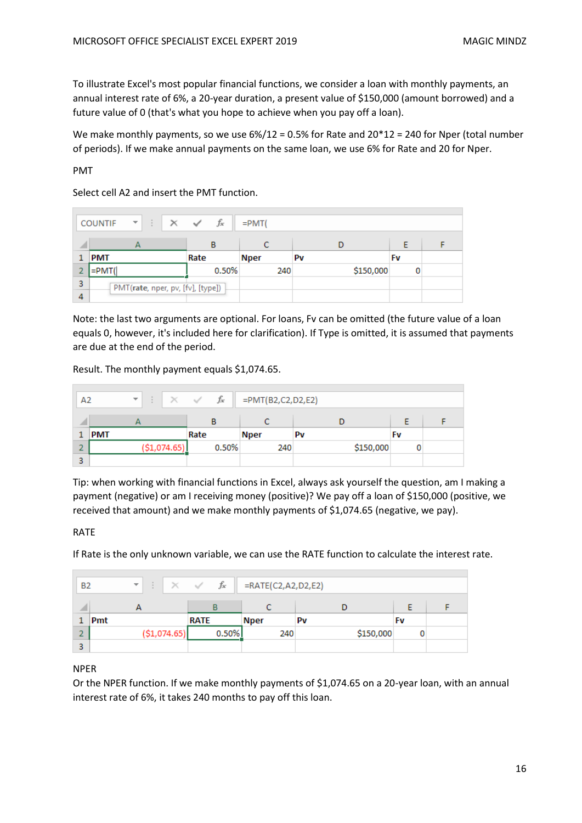To illustrate Excel's most popular financial functions, we consider a loan with monthly payments, an annual interest rate of 6%, a 20-year duration, a present value of \$150,000 (amount borrowed) and a future value of 0 (that's what you hope to achieve when you pay off a loan).

We make monthly payments, so we use 6%/12 = 0.5% for Rate and 20\*12 = 240 for Nper (total number of periods). If we make annual payments on the same loan, we use 6% for Rate and 20 for Nper.

PMT

Select cell A2 and insert the PMT function.

|   | <b>COUNTIF</b><br>$\times$<br>$\overline{\phantom{a}}$ | fx<br>$\checkmark$ | $=$ PMT $($ |           |    |  |
|---|--------------------------------------------------------|--------------------|-------------|-----------|----|--|
|   |                                                        | в                  |             |           |    |  |
|   | <b>PMT</b>                                             | Rate               | <b>Nper</b> | Pv        | Fv |  |
|   | =PMT(                                                  | 0.50%              | 240         | \$150,000 |    |  |
| 3 | PMT(rate, nper, pv, [fv], [type])                      |                    |             |           |    |  |
| 4 |                                                        |                    |             |           |    |  |

Note: the last two arguments are optional. For loans, Fv can be omitted (the future value of a loan equals 0, however, it's included here for clarification). If Type is omitted, it is assumed that payments are due at the end of the period.

Result. The monthly payment equals \$1,074.65.

| A2 |            | $\overline{\phantom{a}}$ |              | $\times$ $\checkmark$ fx | =PMT(B2,C2,D2,E2) |    |           |    |  |
|----|------------|--------------------------|--------------|--------------------------|-------------------|----|-----------|----|--|
|    |            |                          |              | В                        |                   |    |           |    |  |
|    | <b>PMT</b> |                          |              | Rate                     | <b>Nper</b>       | Pv |           | Fv |  |
| o  |            |                          | (\$1,074.65) | 0.50%                    | 240               |    | \$150,000 |    |  |
| 3  |            |                          |              |                          |                   |    |           |    |  |

Tip: when working with financial functions in Excel, always ask yourself the question, am I making a payment (negative) or am I receiving money (positive)? We pay off a loan of \$150,000 (positive, we received that amount) and we make monthly payments of \$1,074.65 (negative, we pay).

## RATE

If Rate is the only unknown variable, we can use the RATE function to calculate the interest rate.

| <b>B2</b> |     | $\overline{\phantom{a}}$ |               | fx<br>$\times$ $\checkmark$ | =RATE(C2,A2,D2,E2) |    |           |    |  |
|-----------|-----|--------------------------|---------------|-----------------------------|--------------------|----|-----------|----|--|
|           |     |                          |               |                             |                    |    |           |    |  |
|           | Pmt |                          |               | <b>RATE</b>                 | <b>Nper</b>        | Pv |           | Fv |  |
|           |     |                          | ( \$1,074.65) | 0.50%                       | 240                |    | \$150,000 |    |  |
| з         |     |                          |               |                             |                    |    |           |    |  |

## NPER

Or the NPER function. If we make monthly payments of \$1,074.65 on a 20-year loan, with an annual interest rate of 6%, it takes 240 months to pay off this loan.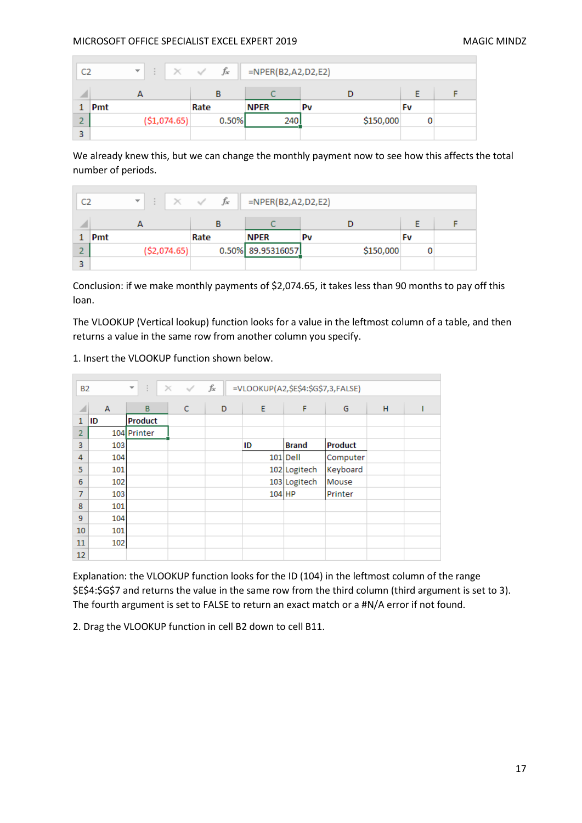$\sim$ 

| C2 |     | $\overline{\phantom{a}}$ | $\times$      | $\checkmark$ | fx    | =NPER(B2,A2,D2,E2) |    |           |    |  |
|----|-----|--------------------------|---------------|--------------|-------|--------------------|----|-----------|----|--|
|    |     |                          |               |              | в     |                    |    |           |    |  |
|    | Pmt |                          |               | Rate         |       | <b>NPER</b>        | Pv |           | Fv |  |
| ÷  |     |                          | ( \$1,074.65) |              | 0.50% | 240                |    | \$150,000 |    |  |
| 3  |     |                          |               |              |       |                    |    |           |    |  |

We already knew this, but we can change the monthly payment now to see how this affects the total number of periods.

| C2 |     | $\overline{\phantom{a}}$ | $\times$ $\checkmark$ fx | =NPER(B2,A2,D2,E2) |    |           |  |
|----|-----|--------------------------|--------------------------|--------------------|----|-----------|--|
|    |     |                          |                          |                    |    |           |  |
|    | Pmt |                          | Rate                     | <b>NPER</b>        | Pv | Fv        |  |
|    |     | ( \$2,074.65)            |                          | 0.50% 89.95316057  |    | \$150,000 |  |
|    |     |                          |                          |                    |    |           |  |

Conclusion: if we make monthly payments of \$2,074.65, it takes less than 90 months to pay off this loan.

The VLOOKUP (Vertical lookup) function looks for a value in the leftmost column of a table, and then returns a value in the same row from another column you specify.

|                | $f_x$<br>$\mathbb{R}^n$ .<br>=VLOOKUP(A2,\$E\$4:\$G\$7,3,FALSE)<br>$\times$<br>- S<br>$\overline{\phantom{a}}$<br><b>B2</b> |                |   |   |          |              |                |   |  |  |  |
|----------------|-----------------------------------------------------------------------------------------------------------------------------|----------------|---|---|----------|--------------|----------------|---|--|--|--|
| ⊿              | A                                                                                                                           | B              | c | D | E        | F            | G              | H |  |  |  |
| 1              | ID                                                                                                                          | <b>Product</b> |   |   |          |              |                |   |  |  |  |
| $\overline{2}$ |                                                                                                                             | 104 Printer    |   |   |          |              |                |   |  |  |  |
| 3              | 103                                                                                                                         |                |   |   | ID       | <b>Brand</b> | <b>Product</b> |   |  |  |  |
| 4              | 104                                                                                                                         |                |   |   |          | 101 Dell     | Computer       |   |  |  |  |
| 5              | 101                                                                                                                         |                |   |   |          | 102 Logitech | Keyboard       |   |  |  |  |
| 6              | 102                                                                                                                         |                |   |   |          | 103 Logitech | Mouse          |   |  |  |  |
| 7              | 103                                                                                                                         |                |   |   | $104$ HP |              | Printer        |   |  |  |  |
| 8              | 101                                                                                                                         |                |   |   |          |              |                |   |  |  |  |
| 9              | 104                                                                                                                         |                |   |   |          |              |                |   |  |  |  |
| 10             | 101                                                                                                                         |                |   |   |          |              |                |   |  |  |  |
| 11             | 102                                                                                                                         |                |   |   |          |              |                |   |  |  |  |
| 12             |                                                                                                                             |                |   |   |          |              |                |   |  |  |  |

## 1. Insert the VLOOKUP function shown below.

Explanation: the VLOOKUP function looks for the ID (104) in the leftmost column of the range \$E\$4:\$G\$7 and returns the value in the same row from the third column (third argument is set to 3). The fourth argument is set to FALSE to return an exact match or a #N/A error if not found.

2. Drag the VLOOKUP function in cell B2 down to cell B11.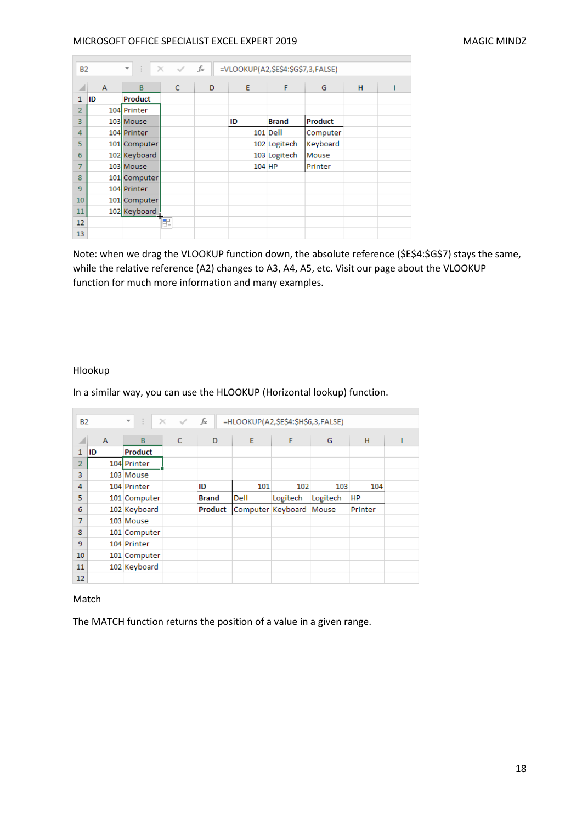|                | ÷.<br>fx<br>$\times$ $\checkmark$<br>=VLOOKUP(A2,\$E\$4:\$G\$7,3,FALSE)<br>$\overline{\phantom{a}}$<br><b>B2</b> |                |   |   |          |              |                |   |  |  |  |
|----------------|------------------------------------------------------------------------------------------------------------------|----------------|---|---|----------|--------------|----------------|---|--|--|--|
| ◢              | $\overline{A}$                                                                                                   | $\mathbf{B}$   | C | D | E        | F            | G              | H |  |  |  |
| $\mathbf{1}$   | ID                                                                                                               | <b>Product</b> |   |   |          |              |                |   |  |  |  |
| $\overline{2}$ |                                                                                                                  | 104 Printer    |   |   |          |              |                |   |  |  |  |
| 3              |                                                                                                                  | 103 Mouse      |   |   | ID       | <b>Brand</b> | <b>Product</b> |   |  |  |  |
| $\overline{4}$ |                                                                                                                  | 104 Printer    |   |   | 101      | <b>Dell</b>  | Computer       |   |  |  |  |
| 5              |                                                                                                                  | 101 Computer   |   |   |          | 102 Logitech | Keyboard       |   |  |  |  |
| 6              |                                                                                                                  | 102 Keyboard   |   |   |          | 103 Logitech | Mouse          |   |  |  |  |
| $\overline{7}$ |                                                                                                                  | 103 Mouse      |   |   | $104$ HP |              | Printer        |   |  |  |  |
| 8              |                                                                                                                  | 101 Computer   |   |   |          |              |                |   |  |  |  |
| 9              |                                                                                                                  | 104 Printer    |   |   |          |              |                |   |  |  |  |
| 10             |                                                                                                                  | 101 Computer   |   |   |          |              |                |   |  |  |  |
| 11             |                                                                                                                  | 102 Keyboard   |   |   |          |              |                |   |  |  |  |
| 12             |                                                                                                                  |                | ŧ |   |          |              |                |   |  |  |  |
| 13             |                                                                                                                  |                |   |   |          |              |                |   |  |  |  |

Note: when we drag the VLOOKUP function down, the absolute reference (\$E\$4:\$G\$7) stays the same, while the relative reference (A2) changes to A3, A4, A5, etc. Visit our page about the VLOOKUP function for much more information and many examples.

## Hlookup

 $\overline{\phantom{a}}$ 

In a similar way, you can use the HLOOKUP (Horizontal lookup) function.

| <b>B2</b>      |    | ÷.<br>$\overline{\phantom{a}}$ | $\times$<br>$\sim$ | fx             | =HLOOKUP(A2,\$E\$4:\$H\$6,3,FALSE) |          |          |           |  |
|----------------|----|--------------------------------|--------------------|----------------|------------------------------------|----------|----------|-----------|--|
| ⊿              | A  | B                              | c                  | D              | E                                  | F        | G        | H         |  |
| 1              | ID | <b>Product</b>                 |                    |                |                                    |          |          |           |  |
| $\overline{2}$ |    | 104 Printer                    |                    |                |                                    |          |          |           |  |
| 3              |    | 103 Mouse                      |                    |                |                                    |          |          |           |  |
| 4              |    | 104 Printer                    |                    | ID             | 101                                | 102      | 103      | 104       |  |
| 5              |    | 101 Computer                   |                    | <b>Brand</b>   | Dell                               | Logitech | Logitech | <b>HP</b> |  |
| 6              |    | 102 Keyboard                   |                    | <b>Product</b> | Computer Keyboard                  |          | Mouse    | Printer   |  |
| 7              |    | 103 Mouse                      |                    |                |                                    |          |          |           |  |
| 8              |    | 101 Computer                   |                    |                |                                    |          |          |           |  |
| 9              |    | 104 Printer                    |                    |                |                                    |          |          |           |  |
| 10             |    | 101 Computer                   |                    |                |                                    |          |          |           |  |
| 11             |    | 102 Keyboard                   |                    |                |                                    |          |          |           |  |
| 12             |    |                                |                    |                |                                    |          |          |           |  |

#### Match

The MATCH function returns the position of a value in a given range.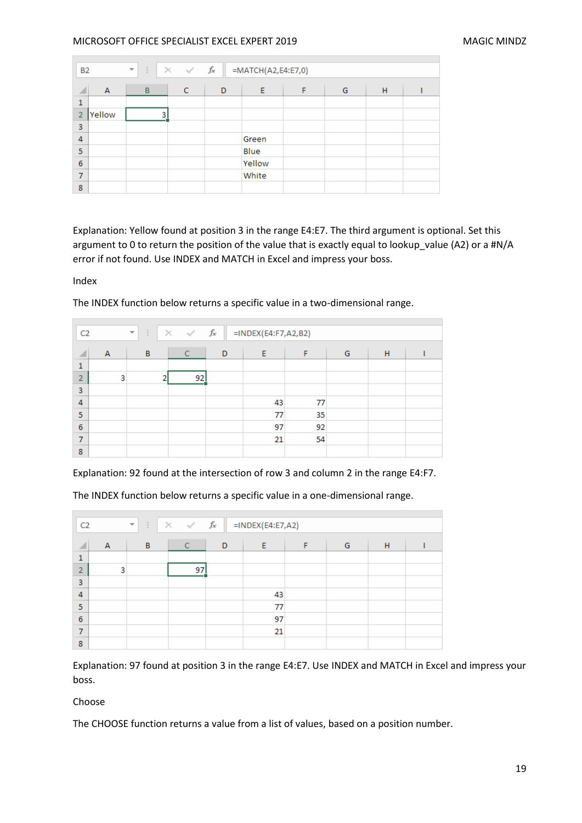| <b>B2</b>      |        | $\times$ $\hspace{0.1cm} \checkmark$ $\hspace{0.1cm}$ $f_{\hspace{-0.1cm} \checkmark}$<br>=MATCH(A2,E4:E7,0)<br>÷<br>$\overline{\mathbf v}$ |   |   |        |   |   |   |  |
|----------------|--------|---------------------------------------------------------------------------------------------------------------------------------------------|---|---|--------|---|---|---|--|
| ◢              | A      | B                                                                                                                                           | C | D | E      | F | G | H |  |
| 1              |        |                                                                                                                                             |   |   |        |   |   |   |  |
| $\overline{2}$ | Yellow | 3                                                                                                                                           |   |   |        |   |   |   |  |
| 3              |        |                                                                                                                                             |   |   |        |   |   |   |  |
| 4              |        |                                                                                                                                             |   |   | Green  |   |   |   |  |
| 5              |        |                                                                                                                                             |   |   | Blue   |   |   |   |  |
| 6              |        |                                                                                                                                             |   |   | Yellow |   |   |   |  |
| 7              |        |                                                                                                                                             |   |   | White  |   |   |   |  |
| 8              |        |                                                                                                                                             |   |   |        |   |   |   |  |

Explanation: Yellow found at position 3 in the range E4:E7. The third argument is optional. Set this argument to 0 to return the position of the value that is exactly equal to lookup\_value (A2) or a #N/A error if not found. Use INDEX and MATCH in Excel and impress your boss.

Index

| C <sub>2</sub> |   | $\overline{\mathcal{R}}$ | ÷ |   | $\times$ $\hspace{0.1cm}\hspace{0.1cm}\hspace{0.1cm}\hspace{0.1cm}\hspace{0.1cm}\hspace{0.1cm}\hspace{0.1cm}\hspace{0.1cm}\hspace{0.1cm}\hspace{0.1cm}\hspace{0.1cm}\hspace{0.1cm}$ | $f_{\text{sc}}$ | $=$ INDEX(E4:F7,A2,B2) |    |   |   |  |
|----------------|---|--------------------------|---|---|-------------------------------------------------------------------------------------------------------------------------------------------------------------------------------------|-----------------|------------------------|----|---|---|--|
| ◢              | Α |                          | B |   | С                                                                                                                                                                                   | D               | Ε                      | F  | G | Н |  |
| 1              |   |                          |   |   |                                                                                                                                                                                     |                 |                        |    |   |   |  |
| $\overline{2}$ |   | 3                        |   | n | 92                                                                                                                                                                                  |                 |                        |    |   |   |  |
| 3              |   |                          |   |   |                                                                                                                                                                                     |                 |                        |    |   |   |  |
| 4              |   |                          |   |   |                                                                                                                                                                                     |                 | 43                     | 77 |   |   |  |
| 5              |   |                          |   |   |                                                                                                                                                                                     |                 | 77                     | 35 |   |   |  |
| 6              |   |                          |   |   |                                                                                                                                                                                     |                 | 97                     | 92 |   |   |  |
| 7              |   |                          |   |   |                                                                                                                                                                                     |                 | 21                     | 54 |   |   |  |
| 8              |   |                          |   |   |                                                                                                                                                                                     |                 |                        |    |   |   |  |

The INDEX function below returns a specific value in a two-dimensional range.

Explanation: 92 found at the intersection of row 3 and column 2 in the range E4:F7.

| C <sub>2</sub> |   | ÷<br>$\overline{\phantom{a}}$ | $\times$ $\hspace{0.1cm} \hspace{0.1cm} \hspace{0.1cm} \hspace{0.1cm} f_{x}$ |   | $=$ INDEX(E4:E7,A2) |   |   |   |  |
|----------------|---|-------------------------------|------------------------------------------------------------------------------|---|---------------------|---|---|---|--|
| ◢              | Α | B                             | C                                                                            | D | Ε                   | F | G | Н |  |
| 1              |   |                               |                                                                              |   |                     |   |   |   |  |
| $\overline{2}$ | 3 |                               | 97                                                                           |   |                     |   |   |   |  |
| 3              |   |                               |                                                                              |   |                     |   |   |   |  |
| 4              |   |                               |                                                                              |   | 43                  |   |   |   |  |
| 5              |   |                               |                                                                              |   | 77                  |   |   |   |  |
| 6              |   |                               |                                                                              |   | 97                  |   |   |   |  |
| 7              |   |                               |                                                                              |   | 21                  |   |   |   |  |
| 8              |   |                               |                                                                              |   |                     |   |   |   |  |

The INDEX function below returns a specific value in a one-dimensional range.

Explanation: 97 found at position 3 in the range E4:E7. Use INDEX and MATCH in Excel and impress your boss.

## Choose

The CHOOSE function returns a value from a list of values, based on a position number.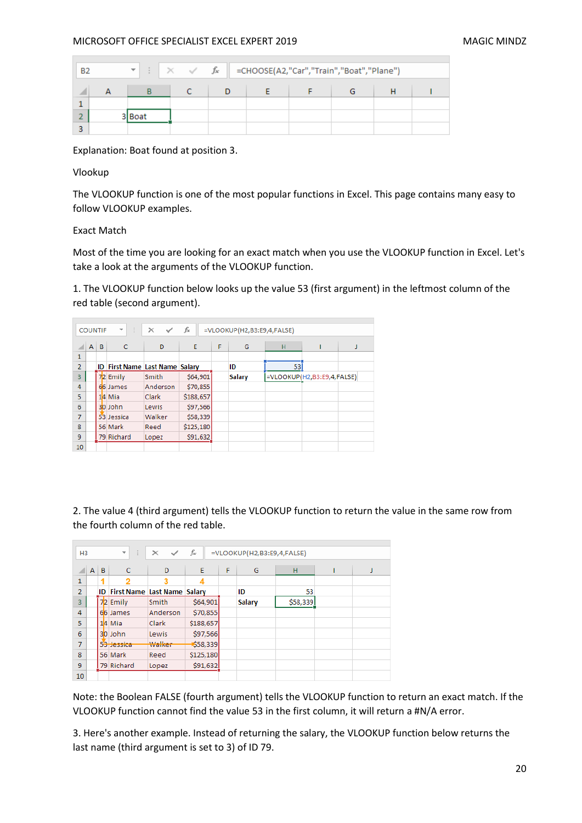| <b>B2</b> | $\overline{\phantom{a}}$ |  | $\times$ $\checkmark$ $\check{f}_x$ =CHOOSE(A2, "Car", "Train", "Boat", "Plane") |  |  |
|-----------|--------------------------|--|----------------------------------------------------------------------------------|--|--|
|           |                          |  |                                                                                  |  |  |
|           |                          |  |                                                                                  |  |  |
|           | Boat                     |  |                                                                                  |  |  |
|           |                          |  |                                                                                  |  |  |

Explanation: Boat found at position 3.

Vlookup

**COL** 

The VLOOKUP function is one of the most popular functions in Excel. This page contains many easy to follow VLOOKUP examples.

Exact Match

Most of the time you are looking for an exact match when you use the VLOOKUP function in Excel. Let's take a look at the arguments of the VLOOKUP function.

1. The VLOOKUP function below looks up the value 53 (first argument) in the leftmost column of the red table (second argument).

|                | <b>COUNTIF</b> |   | ÷<br>$\overline{\phantom{a}}$         | $\times$<br>✓ | fx        |   | =VLOOKUP(H2,B3:E9,4,FALSE) |                               |   |
|----------------|----------------|---|---------------------------------------|---------------|-----------|---|----------------------------|-------------------------------|---|
|                | A              | B | $\mathsf{C}$                          | D             | E         | F | G                          | н                             | J |
| 1              |                |   |                                       |               |           |   |                            |                               |   |
| $\overline{2}$ |                |   | <b>ID First Name Last Name Salary</b> |               |           |   | ID                         | 53                            |   |
| 3              |                |   | 72 Emily                              | Smith         | \$64,901  |   | <b>Salary</b>              | $=$ VLOOKUP(H2,B3:E9,4,FALSE) |   |
| 4              |                |   | 66 James                              | Anderson      | \$70,855  |   |                            |                               |   |
| 5              |                |   | 14 Mia                                | <b>Clark</b>  | \$188,657 |   |                            |                               |   |
| 6              |                |   | 30 John                               | Lewis         | \$97,566  |   |                            |                               |   |
| $\overline{7}$ |                |   | 53 Jessica                            | Walker        | \$58,339  |   |                            |                               |   |
| 8              |                |   | 56 Mark                               | Reed          | \$125,180 |   |                            |                               |   |
| 9              |                |   | 79 Richard                            | Lopez         | \$91,632  |   |                            |                               |   |
| 10             |                |   |                                       |               |           |   |                            |                               |   |

2. The value 4 (third argument) tells the VLOOKUP function to return the value in the same row from the fourth column of the red table.

| H <sub>3</sub> |   |   | ÷<br>$\overline{\phantom{a}}$         | $\times$<br>$\checkmark$ | fx        |   | =VLOOKUP(H2,B3:E9,4,FALSE) |          |  |
|----------------|---|---|---------------------------------------|--------------------------|-----------|---|----------------------------|----------|--|
|                | A | B | c                                     | D                        | E         | F | G                          | н        |  |
| 1              |   |   |                                       |                          | 4         |   |                            |          |  |
| $\overline{2}$ |   |   | <b>ID First Name Last Name Salary</b> |                          |           |   | ID                         | 53       |  |
| 3              |   |   | 72 Emily                              | Smith                    | \$64,901  |   | <b>Salary</b>              | \$58,339 |  |
| 4              |   |   | 66 James                              | Anderson                 | \$70,855  |   |                            |          |  |
| 5              |   |   | 14 Mia                                | <b>Clark</b>             | \$188,657 |   |                            |          |  |
| 6              |   |   | 30 John                               | Lewis                    | \$97,566  |   |                            |          |  |
| 7              |   |   | 53 Jessica                            | Walker                   | \$58,339  |   |                            |          |  |
| 8              |   |   | 56 Mark                               | Reed                     | \$125,180 |   |                            |          |  |
| 9              |   |   | 79 Richard                            | Lopez                    | \$91,632  |   |                            |          |  |
| 10             |   |   |                                       |                          |           |   |                            |          |  |

Note: the Boolean FALSE (fourth argument) tells the VLOOKUP function to return an exact match. If the VLOOKUP function cannot find the value 53 in the first column, it will return a #N/A error.

3. Here's another example. Instead of returning the salary, the VLOOKUP function below returns the last name (third argument is set to 3) of ID 79.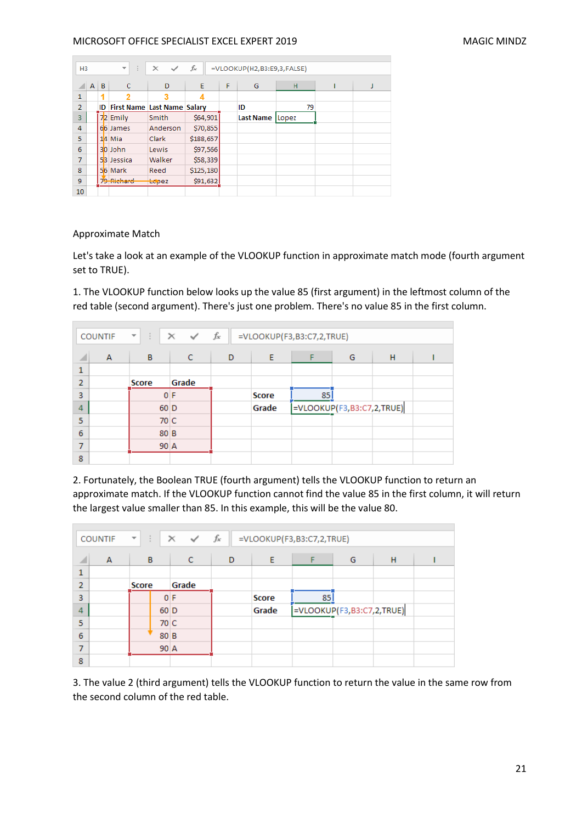| H <sub>3</sub> |              |   | $\mathbf{v}$<br>÷.                    | $\times$<br>$\checkmark$ | fx        |   | =VLOOKUP(H2,B3:E9,3,FALSE) |       |  |
|----------------|--------------|---|---------------------------------------|--------------------------|-----------|---|----------------------------|-------|--|
|                | $\mathsf{A}$ | B | $\mathsf{C}$                          | D                        | E         | F | G                          | н     |  |
| $\mathbf{1}$   |              |   |                                       |                          |           |   |                            |       |  |
| $\overline{2}$ |              |   | <b>ID First Name Last Name Salary</b> |                          |           |   | ID                         | 79    |  |
| 3              |              |   | 72 Emily                              | Smith                    | \$64,901  |   | <b>Last Name</b>           | Lopez |  |
| 4              |              |   | 66 James                              | Anderson                 | \$70,855  |   |                            |       |  |
| 5              |              |   | $14$ Mia                              | Clark                    | \$188,657 |   |                            |       |  |
| 6              |              |   | 30 John                               | Lewis                    | \$97,566  |   |                            |       |  |
| $\overline{7}$ |              |   | 53 Jessica                            | Walker                   | \$58,339  |   |                            |       |  |
| 8              |              |   | 56 Mark                               | Reed                     | \$125,180 |   |                            |       |  |
| 9              |              |   | 79 Richard                            | topez                    | \$91,632  |   |                            |       |  |
| 10             |              |   |                                       |                          |           |   |                            |       |  |

## Approximate Match

Let's take a look at an example of the VLOOKUP function in approximate match mode (fourth argument set to TRUE).

1. The VLOOKUP function below looks up the value 85 (first argument) in the leftmost column of the red table (second argument). There's just one problem. There's no value 85 in the first column.

| $f_x$<br>÷<br>$\prec$<br>$\times$<br>=VLOOKUP(F3,B3:C7,2,TRUE)<br><b>COUNTIF</b><br>$\overline{\phantom{a}}$ |                |                  |       |   |              |                           |   |   |  |  |
|--------------------------------------------------------------------------------------------------------------|----------------|------------------|-------|---|--------------|---------------------------|---|---|--|--|
| ⊿                                                                                                            | $\overline{A}$ | B                | C     | D | Ε            |                           | G | H |  |  |
| 1                                                                                                            |                |                  |       |   |              |                           |   |   |  |  |
| $\overline{2}$                                                                                               |                | <b>Score</b>     | Grade |   |              |                           |   |   |  |  |
| 3                                                                                                            |                |                  | 0 F   |   | <b>Score</b> | 85                        |   |   |  |  |
| 4                                                                                                            |                | $60$ D           |       |   | Grade        | =VLOOKUP(F3,B3:C7,2,TRUE) |   |   |  |  |
| 5                                                                                                            |                | 70 C             |       |   |              |                           |   |   |  |  |
| 6                                                                                                            |                | 80B              |       |   |              |                           |   |   |  |  |
| 7                                                                                                            |                | $90 \, \text{A}$ |       |   |              |                           |   |   |  |  |
| 8                                                                                                            |                |                  |       |   |              |                           |   |   |  |  |

2. Fortunately, the Boolean TRUE (fourth argument) tells the VLOOKUP function to return an approximate match. If the VLOOKUP function cannot find the value 85 in the first column, it will return the largest value smaller than 85. In this example, this will be the value 80.

|                | <b>COUNTIF</b> | $\overline{\phantom{a}}$ | ÷                | $\times$<br>$\checkmark$ | fx |              | =VLOOKUP(F3,B3:C7,2,TRUE) |   |   |  |
|----------------|----------------|--------------------------|------------------|--------------------------|----|--------------|---------------------------|---|---|--|
| ◢              | A              |                          | B                | C                        | D  | Ε            | F                         | G | н |  |
| 1              |                |                          |                  |                          |    |              |                           |   |   |  |
| $\overline{2}$ |                | Score                    |                  | Grade                    |    |              |                           |   |   |  |
| 3              |                |                          |                  | 0 F                      |    | <b>Score</b> | 85                        |   |   |  |
| 4              |                |                          | $60$ D           |                          |    | Grade        | =VLOOKUP(F3,B3:C7,2,TRUE) |   |   |  |
| 5              |                |                          | 70 C             |                          |    |              |                           |   |   |  |
| 6              |                |                          | 80B              |                          |    |              |                           |   |   |  |
| 7              |                |                          | $90 \, \text{A}$ |                          |    |              |                           |   |   |  |
| 8              |                |                          |                  |                          |    |              |                           |   |   |  |

3. The value 2 (third argument) tells the VLOOKUP function to return the value in the same row from the second column of the red table.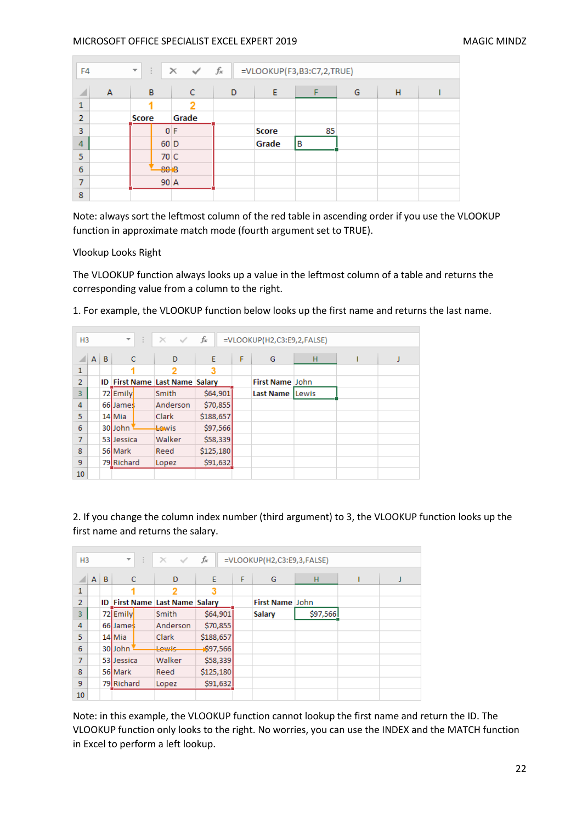| fx<br>$\times$ $\checkmark$<br>÷<br>=VLOOKUP(F3,B3:C7,2,TRUE)<br>$\overline{\mathbf{v}}$<br>F <sub>4</sub> |   |              |        |       |   |              |    |   |   |  |
|------------------------------------------------------------------------------------------------------------|---|--------------|--------|-------|---|--------------|----|---|---|--|
| ⊿                                                                                                          | A |              | B      | C     | D | E            | F  | G | н |  |
| 1                                                                                                          |   |              |        |       |   |              |    |   |   |  |
| $\overline{2}$                                                                                             |   | <b>Score</b> |        | Grade |   |              |    |   |   |  |
| 3                                                                                                          |   |              | 0 F    |       |   | <b>Score</b> | 85 |   |   |  |
| 4                                                                                                          |   |              | $60$ D |       |   | Grade        | B  |   |   |  |
| 5                                                                                                          |   |              | 70 C   |       |   |              |    |   |   |  |
| 6                                                                                                          |   |              | 8018   |       |   |              |    |   |   |  |
| 7                                                                                                          |   |              | 90 A   |       |   |              |    |   |   |  |
| 8                                                                                                          |   |              |        |       |   |              |    |   |   |  |

Note: always sort the leftmost column of the red table in ascending order if you use the VLOOKUP function in approximate match mode (fourth argument set to TRUE).

Vlookup Looks Right

The VLOOKUP function always looks up a value in the leftmost column of a table and returns the corresponding value from a column to the right.

1. For example, the VLOOKUP function below looks up the first name and returns the last name.

| fx<br>÷.<br>$\times$<br>$\overline{\mathbf{v}}$<br>$\sim$<br>=VLOOKUP(H2,C3:E9,2,FALSE)<br>H <sub>3</sub> |              |   |                                       |          |           |   |                  |              |  |   |
|-----------------------------------------------------------------------------------------------------------|--------------|---|---------------------------------------|----------|-----------|---|------------------|--------------|--|---|
|                                                                                                           | $\mathsf{A}$ | B | $\mathsf{C}$                          | D        | E         | F | G                | H            |  | J |
| 1                                                                                                         |              |   |                                       |          | 3         |   |                  |              |  |   |
| $\overline{2}$                                                                                            |              |   | <b>ID First Name Last Name Salary</b> |          |           |   | First Name John  |              |  |   |
| 3                                                                                                         |              |   | 72 Emily                              | Smith    | \$64,901  |   | <b>Last Name</b> | <b>Lewis</b> |  |   |
| 4                                                                                                         |              |   | 66 James                              | Anderson | \$70,855  |   |                  |              |  |   |
| 5                                                                                                         |              |   | 14 Mia                                | Clark    | \$188,657 |   |                  |              |  |   |
| 6                                                                                                         |              |   | 30John                                | Lewis    | \$97,566  |   |                  |              |  |   |
| $\overline{7}$                                                                                            |              |   | 53 Jessica                            | Walker   | \$58,339  |   |                  |              |  |   |
| 8                                                                                                         |              |   | 56 Mark                               | Reed     | \$125,180 |   |                  |              |  |   |
| 9                                                                                                         |              |   | 79 Richard                            | Lopez    | \$91,632  |   |                  |              |  |   |
| 10                                                                                                        |              |   |                                       |          |           |   |                  |              |  |   |

2. If you change the column index number (third argument) to 3, the VLOOKUP function looks up the first name and returns the salary.

| H <sub>3</sub> |              |   | ÷<br>$\overline{\phantom{a}}$         | $\times$<br>$\sim$ | fx        |   | =VLOOKUP(H2,C3:E9,3,FALSE) |          |  |
|----------------|--------------|---|---------------------------------------|--------------------|-----------|---|----------------------------|----------|--|
|                | $\mathsf{A}$ | B | C                                     | D                  | E         | F | G                          | н        |  |
| 1              |              |   |                                       |                    | 3         |   |                            |          |  |
| $\overline{2}$ |              |   | <b>ID First Name Last Name Salary</b> |                    |           |   | First Name John            |          |  |
| 3              |              |   | 72 Emily                              | Smith              | \$64,901  |   | Salary                     | \$97,566 |  |
| 4              |              |   | 66 James                              | Anderson           | \$70,855  |   |                            |          |  |
| 5              |              |   | 14 Mia                                | Clark              | \$188,657 |   |                            |          |  |
| 6              |              |   | 30John                                | Lewis              | \$97,566  |   |                            |          |  |
| 7              |              |   | 53 Jessica                            | Walker             | \$58,339  |   |                            |          |  |
| 8              |              |   | 56 Mark                               | Reed               | \$125,180 |   |                            |          |  |
| 9              |              |   | 79 Richard                            | Lopez              | \$91,632  |   |                            |          |  |
| 10             |              |   |                                       |                    |           |   |                            |          |  |

Note: in this example, the VLOOKUP function cannot lookup the first name and return the ID. The VLOOKUP function only looks to the right. No worries, you can use the INDEX and the MATCH function in Excel to perform a left lookup.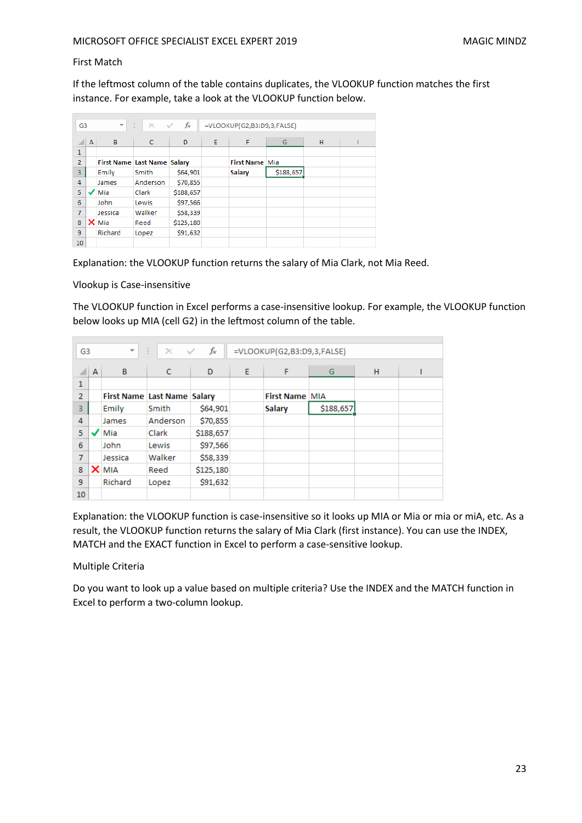#### First Match

If the leftmost column of the table contains duplicates, the VLOOKUP function matches the first instance. For example, take a look at the VLOOKUP function below.

| G <sub>3</sub> |   | $\overline{\mathbf{v}}$            | ÷<br>$\times$ $\checkmark$ | fx        |   | =VLOOKUP(G2,B3:D9,3,FALSE) |           |   |  |
|----------------|---|------------------------------------|----------------------------|-----------|---|----------------------------|-----------|---|--|
|                |   |                                    |                            |           |   |                            |           |   |  |
|                | A | B                                  | C                          | D         | E | F                          | G         | н |  |
| 1              |   |                                    |                            |           |   |                            |           |   |  |
| $\overline{2}$ |   | <b>First Name Last Name Salary</b> |                            |           |   | <b>First Name Mia</b>      |           |   |  |
| 3              |   | Emily                              | Smith                      | \$64,901  |   | Salary                     | \$188,657 |   |  |
| 4              |   | James                              | Anderson                   | \$70,855  |   |                            |           |   |  |
| 5              |   | Mia                                | Clark                      | \$188,657 |   |                            |           |   |  |
| 6              |   | <b>John</b>                        | Lewis                      | \$97,566  |   |                            |           |   |  |
| 7              |   | Jessica                            | Walker                     | \$58,339  |   |                            |           |   |  |
| 8              |   | $\times$ Mia                       | Reed                       | \$125,180 |   |                            |           |   |  |
| 9              |   | Richard                            | Lopez                      | \$91,632  |   |                            |           |   |  |
| 10             |   |                                    |                            |           |   |                            |           |   |  |

Explanation: the VLOOKUP function returns the salary of Mia Clark, not Mia Reed.

Vlookup is Case-insensitive

The VLOOKUP function in Excel performs a case-insensitive lookup. For example, the VLOOKUP function below looks up MIA (cell G2) in the leftmost column of the table.

| G <sub>3</sub> |   | $\overline{\phantom{a}}$           | ÷.<br>$\times$ $\checkmark$ | fx        |   | =VLOOKUP(G2,B3:D9,3,FALSE) |           |   |  |
|----------------|---|------------------------------------|-----------------------------|-----------|---|----------------------------|-----------|---|--|
|                | A | B                                  | $\mathsf{C}$                | D         | E | F                          | G         | н |  |
| 1              |   |                                    |                             |           |   |                            |           |   |  |
| $\overline{2}$ |   | <b>First Name Last Name Salary</b> |                             |           |   | <b>First Name MIA</b>      |           |   |  |
| 3              |   | Emily                              | Smith                       | \$64,901  |   | Salary                     | \$188,657 |   |  |
| 4              |   | James                              | Anderson                    | \$70,855  |   |                            |           |   |  |
| 5              |   | Mia                                | Clark                       | \$188,657 |   |                            |           |   |  |
| 6              |   | John                               | Lewis                       | \$97,566  |   |                            |           |   |  |
| $\overline{7}$ |   | Jessica                            | Walker                      | \$58,339  |   |                            |           |   |  |
| 8              | × | <b>MIA</b>                         | Reed                        | \$125,180 |   |                            |           |   |  |
| 9              |   | Richard                            | Lopez                       | \$91,632  |   |                            |           |   |  |
| 10             |   |                                    |                             |           |   |                            |           |   |  |

Explanation: the VLOOKUP function is case-insensitive so it looks up MIA or Mia or mia or miA, etc. As a result, the VLOOKUP function returns the salary of Mia Clark (first instance). You can use the INDEX, MATCH and the EXACT function in Excel to perform a case-sensitive lookup.

Multiple Criteria

Do you want to look up a value based on multiple criteria? Use the INDEX and the MATCH function in Excel to perform a two-column lookup.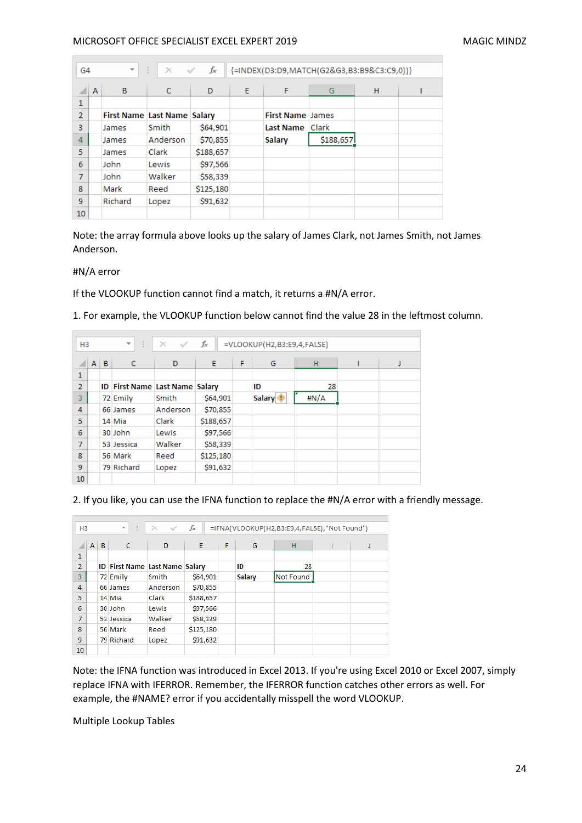| G4             |   | $\overline{\phantom{a}}$    | ÷.<br>$\times$ $\checkmark$ | fx        |   |                         | {=INDEX(D3:D9,MATCH(G2&G3,B3:B9&C3:C9,0))} |   |  |
|----------------|---|-----------------------------|-----------------------------|-----------|---|-------------------------|--------------------------------------------|---|--|
|                | A | B                           | $\mathsf{C}$                | D         | E | F                       | G                                          | н |  |
| 1              |   |                             |                             |           |   |                         |                                            |   |  |
| $\overline{2}$ |   | First Name Last Name Salary |                             |           |   | <b>First Name James</b> |                                            |   |  |
| 3              |   | James                       | Smith                       | \$64,901  |   | Last Name Clark         |                                            |   |  |
| $\overline{4}$ |   | James                       | Anderson                    | \$70,855  |   | <b>Salary</b>           | \$188,657                                  |   |  |
| 5              |   | James                       | Clark                       | \$188,657 |   |                         |                                            |   |  |
| 6              |   | John                        | Lewis                       | \$97,566  |   |                         |                                            |   |  |
| 7              |   | John                        | Walker                      | \$58,339  |   |                         |                                            |   |  |
| 8              |   | Mark                        | Reed                        | \$125,180 |   |                         |                                            |   |  |
| 9              |   | Richard                     | Lopez                       | \$91,632  |   |                         |                                            |   |  |
| 10             |   |                             |                             |           |   |                         |                                            |   |  |

Note: the array formula above looks up the salary of James Clark, not James Smith, not James Anderson.

#### #N/A error

If the VLOOKUP function cannot find a match, it returns a #N/A error.

1. For example, the VLOOKUP function below cannot find the value 28 in the leftmost column.

|                | ÷.<br>$f_x$<br>$\overline{\psi}$<br>$\times$ $\checkmark$<br>=VLOOKUP(H2,B3:E9,4,FALSE)<br>H <sub>3</sub> |   |                                       |          |           |   |                     |      |  |  |
|----------------|-----------------------------------------------------------------------------------------------------------|---|---------------------------------------|----------|-----------|---|---------------------|------|--|--|
|                |                                                                                                           |   |                                       |          |           |   |                     |      |  |  |
|                | $\mathsf{A}$                                                                                              | B | c                                     | D        | E.        | F | G                   | H    |  |  |
| $\mathbf{1}$   |                                                                                                           |   |                                       |          |           |   |                     |      |  |  |
| $\overline{2}$ |                                                                                                           |   | <b>ID First Name Last Name Salary</b> |          |           |   | ID                  | 28   |  |  |
| 3              |                                                                                                           |   | 72 Emily                              | Smith    | \$64,901  |   | Salary <sup>1</sup> | #N/A |  |  |
| 4              |                                                                                                           |   | 66 James                              | Anderson | \$70,855  |   |                     |      |  |  |
| 5              |                                                                                                           |   | 14 Mia                                | Clark    | \$188,657 |   |                     |      |  |  |
| 6              |                                                                                                           |   | 30 John                               | Lewis    | \$97,566  |   |                     |      |  |  |
| $\overline{7}$ |                                                                                                           |   | 53 Jessica                            | Walker   | \$58,339  |   |                     |      |  |  |
| 8              |                                                                                                           |   | 56 Mark                               | Reed     | \$125,180 |   |                     |      |  |  |
| 9              |                                                                                                           |   | 79 Richard                            | Lopez    | \$91,632  |   |                     |      |  |  |
| 10             |                                                                                                           |   |                                       |          |           |   |                     |      |  |  |

2. If you like, you can use the IFNA function to replace the #N/A error with a friendly message.

|                | $\bigoplus$<br>fx.<br>$\mathcal{F}$ ).<br>$\times$ $\checkmark$<br>=IFNA(VLOOKUP(H2,B3:E9,4,FALSE),"Not Found")<br>H <sub>3</sub> |  |                                       |          |           |   |               |           |  |  |  |  |
|----------------|-----------------------------------------------------------------------------------------------------------------------------------|--|---------------------------------------|----------|-----------|---|---------------|-----------|--|--|--|--|
|                | $A \mid B$                                                                                                                        |  | $\mathsf{C}$                          | D        | E         | F | G             | H         |  |  |  |  |
| 1              |                                                                                                                                   |  |                                       |          |           |   |               |           |  |  |  |  |
| $\overline{2}$ |                                                                                                                                   |  | <b>ID First Name Last Name Salary</b> |          |           |   | ID            | 28        |  |  |  |  |
| 3              |                                                                                                                                   |  | 72 Emily                              | Smith    | \$64,901  |   | <b>Salary</b> | Not Found |  |  |  |  |
| 4              |                                                                                                                                   |  | 66 James                              | Anderson | \$70,855  |   |               |           |  |  |  |  |
| 5              |                                                                                                                                   |  | 14 Mia                                | Clark    | \$188,657 |   |               |           |  |  |  |  |
| 6              |                                                                                                                                   |  | 30 John                               | Lewis    | \$97,566  |   |               |           |  |  |  |  |
| 7              |                                                                                                                                   |  | 53 Jessica                            | Walker   | \$58,339  |   |               |           |  |  |  |  |
| 8              |                                                                                                                                   |  | 56 Mark                               | Reed     | \$125,180 |   |               |           |  |  |  |  |
| 9              |                                                                                                                                   |  | 79 Richard                            | Lopez    | \$91,632  |   |               |           |  |  |  |  |
| 10             |                                                                                                                                   |  |                                       |          |           |   |               |           |  |  |  |  |

Note: the IFNA function was introduced in Excel 2013. If you're using Excel 2010 or Excel 2007, simply replace IFNA with IFERROR. Remember, the IFERROR function catches other errors as well. For example, the #NAME? error if you accidentally misspell the word VLOOKUP.

Multiple Lookup Tables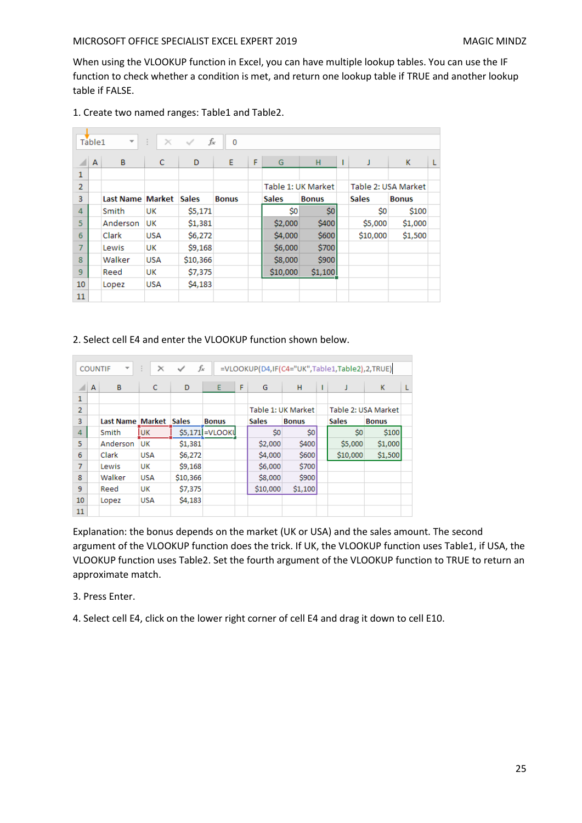When using the VLOOKUP function in Excel, you can have multiple lookup tables. You can use the IF function to check whether a condition is met, and return one lookup table if TRUE and another lookup table if FALSE.

|                | $f_x$<br>÷<br>Table <sub>1</sub><br>$\overline{\mathbf{v}}$<br>$\times$<br>$\checkmark$<br>0 |           |               |              |              |   |              |                    |   |              |                     |   |  |
|----------------|----------------------------------------------------------------------------------------------|-----------|---------------|--------------|--------------|---|--------------|--------------------|---|--------------|---------------------|---|--|
|                | A                                                                                            | B         | C             | D            | E            | F | G            | н                  | ı | J            | K                   | L |  |
| 1              |                                                                                              |           |               |              |              |   |              |                    |   |              |                     |   |  |
| $\overline{2}$ |                                                                                              |           |               |              |              |   |              | Table 1: UK Market |   |              | Table 2: USA Market |   |  |
| 3              |                                                                                              | Last Name | <b>Market</b> | <b>Sales</b> | <b>Bonus</b> |   | <b>Sales</b> | <b>Bonus</b>       |   | <b>Sales</b> | <b>Bonus</b>        |   |  |
| 4              |                                                                                              | Smith     | UK            | \$5,171      |              |   | \$0          | \$0                |   | \$0          | \$100               |   |  |
| 5              |                                                                                              | Anderson  | UK            | \$1,381      |              |   | \$2,000      | \$400              |   | \$5,000      | \$1,000             |   |  |
| 6              |                                                                                              | Clark     | <b>USA</b>    | \$6,272      |              |   | \$4,000      | \$600              |   | \$10,000     | \$1,500             |   |  |
| 7              |                                                                                              | Lewis     | <b>UK</b>     | \$9,168      |              |   | \$6,000      | \$700              |   |              |                     |   |  |
| 8              |                                                                                              | Walker    | <b>USA</b>    | \$10,366     |              |   | \$8,000      | \$900              |   |              |                     |   |  |
| 9              |                                                                                              | Reed      | <b>UK</b>     | \$7,375      |              |   | \$10,000     | \$1,100            |   |              |                     |   |  |
| 10             |                                                                                              | Lopez     | <b>USA</b>    | \$4,183      |              |   |              |                    |   |              |                     |   |  |
| 11             |                                                                                              |           |               |              |              |   |              |                    |   |              |                     |   |  |

1. Create two named ranges: Table1 and Table2.

## 2. Select cell E4 and enter the VLOOKUP function shown below.

|                |                | <b>COUNTIF</b><br>$\overline{\phantom{a}}$ | ÷.<br>$\times$ | fx           |                  |   |              |                    |   | =VLOOKUP(D4,IF(C4="UK",Table1,Table2),2,TRUE) |                     |   |
|----------------|----------------|--------------------------------------------|----------------|--------------|------------------|---|--------------|--------------------|---|-----------------------------------------------|---------------------|---|
|                | $\overline{A}$ | B                                          | c              | D            | E                | F | G            | н                  | т | J                                             | K                   | L |
| 1              |                |                                            |                |              |                  |   |              |                    |   |                                               |                     |   |
| $\overline{2}$ |                |                                            |                |              |                  |   |              | Table 1: UK Market |   |                                               | Table 2: USA Market |   |
| 3              |                | Last Name Market                           |                | <b>Sales</b> | <b>Bonus</b>     |   | <b>Sales</b> | <b>Bonus</b>       |   | <b>Sales</b>                                  | <b>Bonus</b>        |   |
| 4              |                | Smith                                      | <b>UK</b>      |              | \$5,171 = VLOOKU |   | \$0          | \$0                |   | \$0                                           | \$100               |   |
| 5              |                | Anderson                                   | UK             | \$1,381      |                  |   | \$2,000      | \$400              |   | \$5,000                                       | \$1,000             |   |
| 6              |                | Clark                                      | <b>USA</b>     | \$6,272      |                  |   | \$4,000      | \$600              |   | \$10,000                                      | \$1,500             |   |
| $\overline{7}$ |                | Lewis                                      | UK             | \$9,168      |                  |   | \$6,000      | \$700              |   |                                               |                     |   |
| 8              |                | Walker                                     | <b>USA</b>     | \$10,366     |                  |   | \$8,000      | \$900              |   |                                               |                     |   |
| 9              |                | Reed                                       | UK             | \$7,375      |                  |   | \$10,000     | \$1,100            |   |                                               |                     |   |
| 10             |                | Lopez                                      | <b>USA</b>     | \$4,183      |                  |   |              |                    |   |                                               |                     |   |
| 11             |                |                                            |                |              |                  |   |              |                    |   |                                               |                     |   |

Explanation: the bonus depends on the market (UK or USA) and the sales amount. The second argument of the VLOOKUP function does the trick. If UK, the VLOOKUP function uses Table1, if USA, the VLOOKUP function uses Table2. Set the fourth argument of the VLOOKUP function to TRUE to return an approximate match.

## 3. Press Enter.

4. Select cell E4, click on the lower right corner of cell E4 and drag it down to cell E10.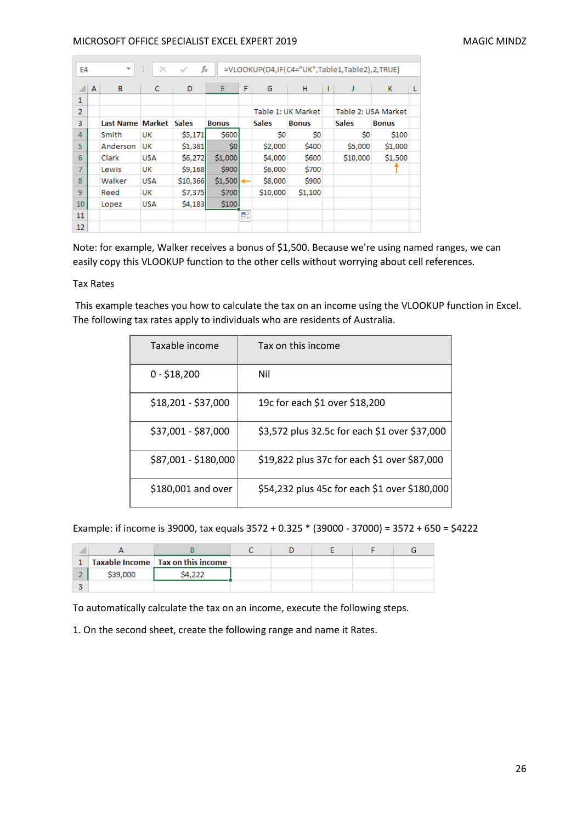| fx<br>÷.<br>$\times$<br>=VLOOKUP(D4,IF(C4="UK",Table1,Table2),2,TRUE)<br>✓<br>E4<br>$\overline{\phantom{a}}$ |              |           |               |              |              |        |                    |              |   |              |                     |   |
|--------------------------------------------------------------------------------------------------------------|--------------|-----------|---------------|--------------|--------------|--------|--------------------|--------------|---|--------------|---------------------|---|
|                                                                                                              | $\mathsf{A}$ | B         | C             | D            | E            | F      | G                  | н            | L | J            | K                   | L |
| 1                                                                                                            |              |           |               |              |              |        |                    |              |   |              |                     |   |
| $\overline{2}$                                                                                               |              |           |               |              |              |        | Table 1: UK Market |              |   |              | Table 2: USA Market |   |
| 3                                                                                                            |              | Last Name | <b>Market</b> | <b>Sales</b> | <b>Bonus</b> |        | <b>Sales</b>       | <b>Bonus</b> |   | <b>Sales</b> | <b>Bonus</b>        |   |
| $\overline{4}$                                                                                               |              | Smith     | UK            | \$5,171      | \$600        |        | \$0                | \$0          |   | Ś0           | \$100               |   |
| 5                                                                                                            |              | Anderson  | UK            | \$1,381      | \$0          |        | \$2,000            | \$400        |   | \$5,000      | \$1,000             |   |
| 6                                                                                                            |              | Clark     | <b>USA</b>    | \$6,272      | \$1,000      |        | \$4,000            | \$600        |   | \$10,000     | \$1,500             |   |
| $\overline{7}$                                                                                               |              | Lewis     | UK            | \$9,168      | \$900        |        | \$6,000            | \$700        |   |              |                     |   |
| 8                                                                                                            |              | Walker    | <b>USA</b>    | \$10,366     | \$1,500      |        | \$8,000            | \$900        |   |              |                     |   |
| 9                                                                                                            |              | Reed      | UK            | \$7,375      | \$700        |        | \$10,000           | \$1,100      |   |              |                     |   |
| 10                                                                                                           |              | Lopez     | <b>USA</b>    | \$4,183      | \$100        |        |                    |              |   |              |                     |   |
| 11                                                                                                           |              |           |               |              |              | $\Box$ |                    |              |   |              |                     |   |
| 12                                                                                                           |              |           |               |              |              |        |                    |              |   |              |                     |   |

Note: for example, Walker receives a bonus of \$1,500. Because we're using named ranges, we can easily copy this VLOOKUP function to the other cells without worrying about cell references.

#### Tax Rates

This example teaches you how to calculate the tax on an income using the VLOOKUP function in Excel. The following tax rates apply to individuals who are residents of Australia.

| Taxable income       | Tax on this income                            |
|----------------------|-----------------------------------------------|
| $0 - $18,200$        | Nil                                           |
| $$18,201 - $37,000$  | 19c for each \$1 over \$18,200                |
| \$37,001 - \$87,000  | \$3,572 plus 32.5c for each \$1 over \$37,000 |
| \$87,001 - \$180,000 | \$19,822 plus 37c for each \$1 over \$87,000  |
| \$180,001 and over   | \$54,232 plus 45c for each \$1 over \$180,000 |

Example: if income is 39000, tax equals 3572 + 0.325 \* (39000 - 37000) = 3572 + 650 = \$4222

|          | Taxable Income   Tax on this income |  |  |  |
|----------|-------------------------------------|--|--|--|
| \$39,000 |                                     |  |  |  |
|          |                                     |  |  |  |

To automatically calculate the tax on an income, execute the following steps.

1. On the second sheet, create the following range and name it Rates.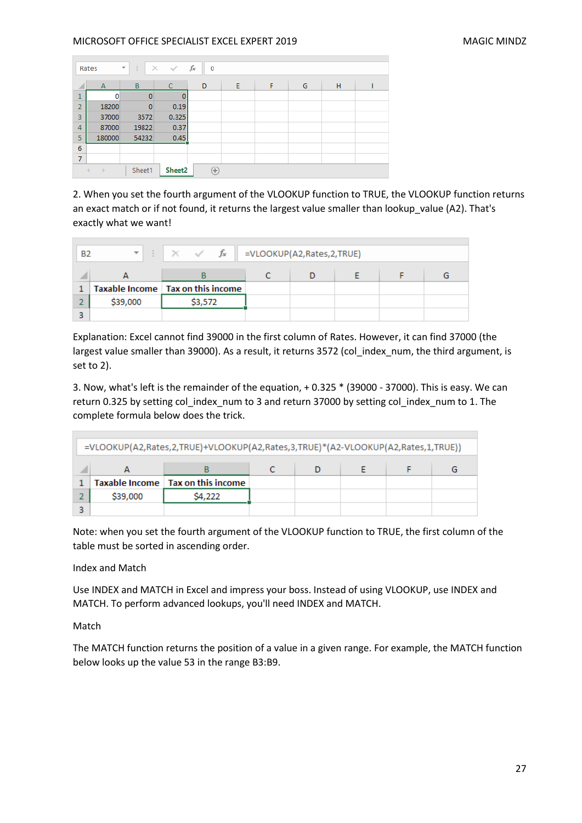|                 | Rates              | ÷<br>$\overline{\phantom{a}}$ | $\checkmark$<br>$\times$ | fx<br>0      |   |   |   |   |  |
|-----------------|--------------------|-------------------------------|--------------------------|--------------|---|---|---|---|--|
| ⊿               | $\overline{A}$     | B                             | C                        | D            | Ε | F | G | н |  |
| $\mathbf{1}$    | 0                  | $\bf{0}$                      |                          |              |   |   |   |   |  |
| $\overline{2}$  | 18200              | $\mathbf{0}$                  | 0.19                     |              |   |   |   |   |  |
| 3               | 37000              | 3572                          | 0.325                    |              |   |   |   |   |  |
| $\overline{4}$  | 87000              | 19822                         | 0.37                     |              |   |   |   |   |  |
| 5               | 180000             | 54232                         | 0.45                     |              |   |   |   |   |  |
| $6\phantom{1}6$ |                    |                               |                          |              |   |   |   |   |  |
| 7               |                    |                               |                          |              |   |   |   |   |  |
|                 | $\rightarrow$<br>4 | Sheet1                        | Sheet2                   | $^{\rm (+)}$ |   |   |   |   |  |

2. When you set the fourth argument of the VLOOKUP function to TRUE, the VLOOKUP function returns an exact match or if not found, it returns the largest value smaller than lookup\_value (A2). That's exactly what we want!

| <b>B2</b> |          | $\begin{array}{c c c c c c} \hline \vdots & \times & \checkmark & f_{x} & \text{=VLOOKUP(A2, Rates,2,TRUE)} \ \hline \end{array}$ |  |  |  |
|-----------|----------|-----------------------------------------------------------------------------------------------------------------------------------|--|--|--|
|           |          |                                                                                                                                   |  |  |  |
|           |          | Taxable Income   Tax on this income                                                                                               |  |  |  |
|           | \$39,000 | \$3,572                                                                                                                           |  |  |  |
|           |          |                                                                                                                                   |  |  |  |

Explanation: Excel cannot find 39000 in the first column of Rates. However, it can find 37000 (the largest value smaller than 39000). As a result, it returns 3572 (col\_index\_num, the third argument, is set to 2).

3. Now, what's left is the remainder of the equation, + 0.325 \* (39000 - 37000). This is easy. We can return 0.325 by setting col\_index\_num to 3 and return 37000 by setting col\_index\_num to 1. The complete formula below does the trick.

| =VLOOKUP(A2,Rates,2,TRUE)+VLOOKUP(A2,Rates,3,TRUE)*(A2-VLOOKUP(A2,Rates,1,TRUE)) |                                     |  |  |  |  |  |  |  |  |  |  |  |
|----------------------------------------------------------------------------------|-------------------------------------|--|--|--|--|--|--|--|--|--|--|--|
|                                                                                  |                                     |  |  |  |  |  |  |  |  |  |  |  |
|                                                                                  | Taxable Income   Tax on this income |  |  |  |  |  |  |  |  |  |  |  |
| \$39,000                                                                         | S4.222                              |  |  |  |  |  |  |  |  |  |  |  |
|                                                                                  |                                     |  |  |  |  |  |  |  |  |  |  |  |

Note: when you set the fourth argument of the VLOOKUP function to TRUE, the first column of the table must be sorted in ascending order.

Index and Match

Use INDEX and MATCH in Excel and impress your boss. Instead of using VLOOKUP, use INDEX and MATCH. To perform advanced lookups, you'll need INDEX and MATCH.

Match

The MATCH function returns the position of a value in a given range. For example, the MATCH function below looks up the value 53 in the range B3:B9.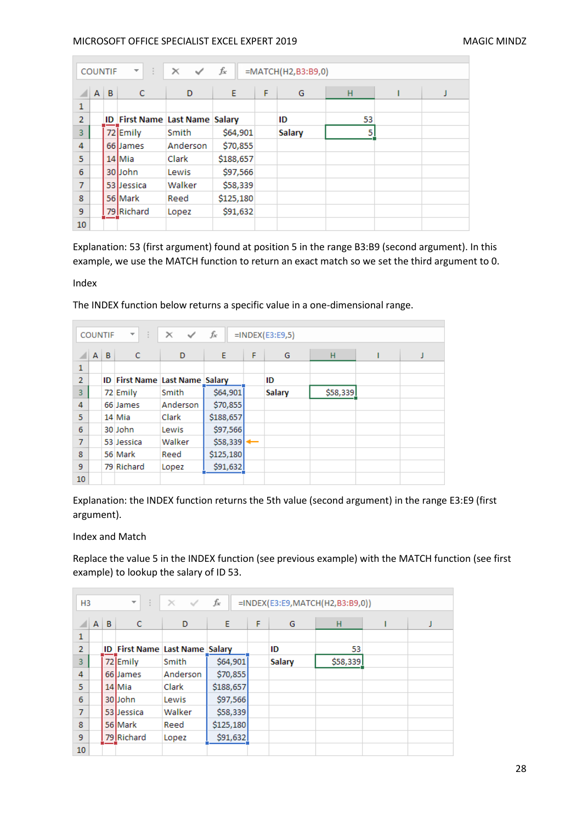|                |              | <b>COUNTIF</b> | 42<br>$\mathcal{A}$                   | $\times$<br>$\checkmark$ | fx        |   | =MATCH(H2,B3:B9,0) |    |   |
|----------------|--------------|----------------|---------------------------------------|--------------------------|-----------|---|--------------------|----|---|
|                | $\mathsf{A}$ | B              | c                                     | D                        | E.        | F | G                  | н  | J |
| 1              |              |                |                                       |                          |           |   |                    |    |   |
| $\overline{2}$ |              |                | <b>ID First Name Last Name Salary</b> |                          |           |   | ID                 | 53 |   |
| 3              |              |                | 72 Emily                              | Smith                    | \$64,901  |   | <b>Salary</b>      | 5  |   |
| 4              |              |                | 66 James                              | Anderson                 | \$70,855  |   |                    |    |   |
| 5              |              |                | 14 Mia                                | Clark                    | \$188,657 |   |                    |    |   |
| 6              |              |                | 30 John                               | Lewis                    | \$97,566  |   |                    |    |   |
| $\overline{7}$ |              |                | 53 Dessica                            | Walker                   | \$58,339  |   |                    |    |   |
| 8              |              |                | 56 Mark                               | Reed                     | \$125,180 |   |                    |    |   |
| 9              |              |                | 79 Richard                            | Lopez                    | \$91,632  |   |                    |    |   |
| 10             |              |                |                                       |                          |           |   |                    |    |   |

Explanation: 53 (first argument) found at position 5 in the range B3:B9 (second argument). In this example, we use the MATCH function to return an exact match so we set the third argument to 0.

Index

|                | 47<br>fx<br>$\times$ $\checkmark$<br>$=$ INDEX(E3:E9,5)<br>$\overline{\mathbf v}$<br><b>COUNTIF</b> |  |                                |          |                        |   |               |          |  |   |  |  |  |
|----------------|-----------------------------------------------------------------------------------------------------|--|--------------------------------|----------|------------------------|---|---------------|----------|--|---|--|--|--|
|                | $A \mid B$                                                                                          |  | C                              | D        | E                      | F | G             | H        |  | J |  |  |  |
| 1              |                                                                                                     |  |                                |          |                        |   |               |          |  |   |  |  |  |
| $\overline{2}$ |                                                                                                     |  | ID First Name Last Name Salary |          |                        |   | ID            |          |  |   |  |  |  |
| 3              |                                                                                                     |  | 72 Emily                       | Smith    | \$64,901               |   | <b>Salary</b> | \$58,339 |  |   |  |  |  |
| 4              |                                                                                                     |  | 66 James                       | Anderson | \$70,855               |   |               |          |  |   |  |  |  |
| 5              |                                                                                                     |  | 14 Mia                         | Clark    | \$188,657              |   |               |          |  |   |  |  |  |
| 6              |                                                                                                     |  | 30 John                        | Lewis    | \$97,566               |   |               |          |  |   |  |  |  |
| $\overline{7}$ |                                                                                                     |  | 53 Jessica                     | Walker   | $$58,339$ $\leftarrow$ |   |               |          |  |   |  |  |  |
| 8              |                                                                                                     |  | 56 Mark                        | Reed     | \$125,180              |   |               |          |  |   |  |  |  |
| 9              |                                                                                                     |  | 79 Richard                     | Lopez    | \$91,632               |   |               |          |  |   |  |  |  |
| 10             |                                                                                                     |  |                                |          |                        |   |               |          |  |   |  |  |  |

The INDEX function below returns a specific value in a one-dimensional range.

Explanation: the INDEX function returns the 5th value (second argument) in the range E3:E9 (first argument).

Index and Match

Replace the value 5 in the INDEX function (see previous example) with the MATCH function (see first example) to lookup the salary of ID 53.

| H <sub>3</sub>  |              |   | $\overline{\nabla}$<br>÷.             | $\times$ $\checkmark$ | $f_x$     |   |               | =INDEX(E3:E9,MATCH(H2,B3:B9,0)) |  |
|-----------------|--------------|---|---------------------------------------|-----------------------|-----------|---|---------------|---------------------------------|--|
|                 | $\mathsf{A}$ | B | C                                     | D                     | E         | F | G             | н                               |  |
| 1               |              |   |                                       |                       |           |   |               |                                 |  |
| $\overline{2}$  |              |   | <b>ID First Name Last Name Salary</b> |                       |           |   | ID            | 53                              |  |
| 3               |              |   | 72 Emily                              | Smith                 | \$64,901  |   | <b>Salary</b> | \$58,339                        |  |
| 4               |              |   | 66 James                              | Anderson              | \$70,855  |   |               |                                 |  |
| 5               |              |   | 14 Mia                                | Clark                 | \$188,657 |   |               |                                 |  |
| 6               |              |   | 30Uohn                                | Lewis                 | \$97,566  |   |               |                                 |  |
| $\overline{7}$  |              |   | 53 Jessica                            | Walker                | \$58,339  |   |               |                                 |  |
| 8               |              |   | 56 Mark                               | Reed                  | \$125,180 |   |               |                                 |  |
| 9               |              |   | 79 Richard                            | Lopez                 | \$91,632  |   |               |                                 |  |
| 10 <sup>°</sup> |              |   |                                       |                       |           |   |               |                                 |  |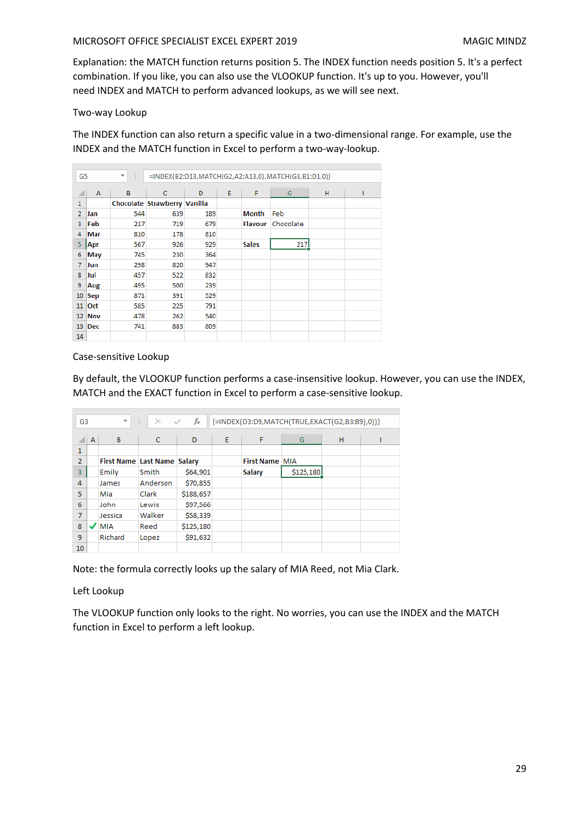Explanation: the MATCH function returns position 5. The INDEX function needs position 5. It's a perfect combination. If you like, you can also use the VLOOKUP function. It's up to you. However, you'll need INDEX and MATCH to perform advanced lookups, as we will see next.

## Two-way Lookup

The INDEX function can also return a specific value in a two-dimensional range. For example, use the INDEX and the MATCH function in Excel to perform a two-way-lookup.

| 47<br>G <sub>5</sub><br>v. |               |     | =INDEX(B2:D13,MATCH(G2,A2:A13,0),MATCH(G3,B1:D1,0)) |     |   |                |           |   |  |  |  |
|----------------------------|---------------|-----|-----------------------------------------------------|-----|---|----------------|-----------|---|--|--|--|
| ◢                          | А             | B   | C                                                   | D   | E | F              | G         | н |  |  |  |
| 1                          |               |     | Chocolate Strawberry Vanilla                        |     |   |                |           |   |  |  |  |
| $\overline{2}$             | Jan           | 544 | 639                                                 | 189 |   | <b>Month</b>   | Feb       |   |  |  |  |
| 3                          | Feb           | 217 | 719                                                 | 679 |   | <b>Flavour</b> | Chocolate |   |  |  |  |
| 4                          | Mar           | 810 | 178                                                 | 810 |   |                |           |   |  |  |  |
| 5                          | Apr           | 567 | 926                                                 | 929 |   | <b>Sales</b>   | 217       |   |  |  |  |
| 6                          | May           | 745 | 230                                                 | 364 |   |                |           |   |  |  |  |
| 7                          | Jun           | 298 | 820                                                 | 947 |   |                |           |   |  |  |  |
| 8                          | Jul           | 457 | 522                                                 | 832 |   |                |           |   |  |  |  |
| 9                          | Aug           | 495 | 500                                                 | 239 |   |                |           |   |  |  |  |
| 10                         | <b>Sep</b>    | 871 | 391                                                 | 529 |   |                |           |   |  |  |  |
| 11                         | <b>Oct</b>    | 585 | 225                                                 | 791 |   |                |           |   |  |  |  |
|                            | <b>12 Nov</b> | 478 | 262                                                 | 540 |   |                |           |   |  |  |  |
| 13                         | Dec           | 741 | 883                                                 | 809 |   |                |           |   |  |  |  |
| 14                         |               |     |                                                     |     |   |                |           |   |  |  |  |

Case-sensitive Lookup

By default, the VLOOKUP function performs a case-insensitive lookup. However, you can use the INDEX, MATCH and the EXACT function in Excel to perform a case-sensitive lookup.

| G <sub>3</sub> |   | $\overline{\mathbf{v}}$            | 42<br>$\times$<br>$\sim$ | fx        | {=INDEX(D3:D9,MATCH(TRUE,EXACT(G2,B3:B9),0))} |                       |           |   |  |  |  |
|----------------|---|------------------------------------|--------------------------|-----------|-----------------------------------------------|-----------------------|-----------|---|--|--|--|
|                | A | B                                  | $\mathsf{C}$             | D         | E                                             | F                     | G         | н |  |  |  |
| 1              |   |                                    |                          |           |                                               |                       |           |   |  |  |  |
| $\overline{2}$ |   | <b>First Name Last Name Salary</b> |                          |           |                                               | <b>First Name MIA</b> |           |   |  |  |  |
| 3              |   | Emily                              | Smith                    | \$64,901  |                                               | Salary                | \$125,180 |   |  |  |  |
| 4              |   | James                              | Anderson                 | \$70,855  |                                               |                       |           |   |  |  |  |
| 5              |   | Mia                                | Clark                    | \$188,657 |                                               |                       |           |   |  |  |  |
| 6              |   | John                               | Lewis                    | \$97,566  |                                               |                       |           |   |  |  |  |
| $\overline{7}$ |   | Jessica                            | Walker                   | \$58,339  |                                               |                       |           |   |  |  |  |
| 8              | ت | <b>MIA</b>                         | Reed                     | \$125,180 |                                               |                       |           |   |  |  |  |
| 9              |   | Richard                            | Lopez                    | \$91,632  |                                               |                       |           |   |  |  |  |
| 10             |   |                                    |                          |           |                                               |                       |           |   |  |  |  |

Note: the formula correctly looks up the salary of MIA Reed, not Mia Clark.

## Left Lookup

The VLOOKUP function only looks to the right. No worries, you can use the INDEX and the MATCH function in Excel to perform a left lookup.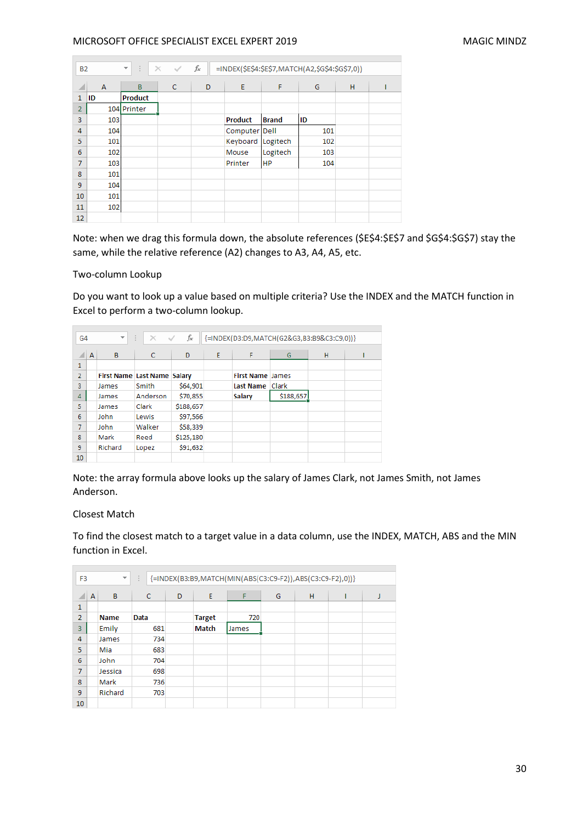|                | fx<br>÷.<br>=INDEX(\$E\$4:\$E\$7,MATCH(A2,\$G\$4:\$G\$7,0))<br>$\overline{\mathbf{v}}$<br>$\times$ $\checkmark$<br><b>B2</b> |                |   |   |                |              |     |   |  |  |  |
|----------------|------------------------------------------------------------------------------------------------------------------------------|----------------|---|---|----------------|--------------|-----|---|--|--|--|
| ◢              | A                                                                                                                            | B              | c | D | E              | F            | G   | H |  |  |  |
| 1              | ID                                                                                                                           | <b>Product</b> |   |   |                |              |     |   |  |  |  |
| $\overline{2}$ |                                                                                                                              | 104 Printer    |   |   |                |              |     |   |  |  |  |
| 3              | 103                                                                                                                          |                |   |   | <b>Product</b> | <b>Brand</b> | ID  |   |  |  |  |
| 4              | 104                                                                                                                          |                |   |   | Computer Dell  |              | 101 |   |  |  |  |
| 5              | 101                                                                                                                          |                |   |   | Keyboard       | Logitech     | 102 |   |  |  |  |
| 6              | 102                                                                                                                          |                |   |   | Mouse          | Logitech     | 103 |   |  |  |  |
| 7              | 103                                                                                                                          |                |   |   | Printer        | <b>HP</b>    | 104 |   |  |  |  |
| 8              | 101                                                                                                                          |                |   |   |                |              |     |   |  |  |  |
| 9              | 104                                                                                                                          |                |   |   |                |              |     |   |  |  |  |
| 10             | 101                                                                                                                          |                |   |   |                |              |     |   |  |  |  |
| 11             | 102                                                                                                                          |                |   |   |                |              |     |   |  |  |  |
| 12             |                                                                                                                              |                |   |   |                |              |     |   |  |  |  |

Note: when we drag this formula down, the absolute references (\$E\$4:\$E\$7 and \$G\$4:\$G\$7) stay the same, while the relative reference (A2) changes to A3, A4, A5, etc.

#### Two-column Lookup

Do you want to look up a value based on multiple criteria? Use the INDEX and the MATCH function in Excel to perform a two-column lookup.

| G <sub>4</sub> |   | $\overline{\phantom{a}}$           | ÷<br>$\times$ | fx<br>$\checkmark$ |   |                         | {=INDEX(D3:D9,MATCH(G2&G3,B3:B9&C3:C9,0))} |   |  |
|----------------|---|------------------------------------|---------------|--------------------|---|-------------------------|--------------------------------------------|---|--|
|                | A | B                                  | C             | D                  | E | F                       | G                                          | н |  |
| 1              |   |                                    |               |                    |   |                         |                                            |   |  |
| $\overline{2}$ |   | <b>First Name Last Name Salary</b> |               |                    |   | <b>First Name James</b> |                                            |   |  |
| 3              |   | James                              | Smith         | \$64,901           |   | <b>Last Name</b>        | Clark                                      |   |  |
| 4              |   | James                              | Anderson      | \$70,855           |   | <b>Salary</b>           | \$188,657                                  |   |  |
| 5              |   | James                              | Clark         | \$188,657          |   |                         |                                            |   |  |
| 6              |   | John                               | Lewis         | \$97,566           |   |                         |                                            |   |  |
| 7              |   | John                               | Walker        | \$58,339           |   |                         |                                            |   |  |
| 8              |   | Mark                               | Reed          | \$125,180          |   |                         |                                            |   |  |
| 9              |   | Richard                            | Lopez         | \$91,632           |   |                         |                                            |   |  |
| 10             |   |                                    |               |                    |   |                         |                                            |   |  |

Note: the array formula above looks up the salary of James Clark, not James Smith, not James Anderson.

#### Closest Match

To find the closest match to a target value in a data column, use the INDEX, MATCH, ABS and the MIN function in Excel.

|                | F <sub>3</sub><br>$\overline{\phantom{a}}$ |             | ÷            | {=INDEX(B3:B9,MATCH(MIN(ABS(C3:C9-F2)),ABS(C3:C9-F2),0)}} |               |       |   |   |  |   |  |  |
|----------------|--------------------------------------------|-------------|--------------|-----------------------------------------------------------|---------------|-------|---|---|--|---|--|--|
|                | A                                          | B           | $\mathsf{C}$ | D                                                         | E             | F     | G | н |  | J |  |  |
| 1              |                                            |             |              |                                                           |               |       |   |   |  |   |  |  |
| $\overline{2}$ |                                            | <b>Name</b> | Data         |                                                           | <b>Target</b> | 720   |   |   |  |   |  |  |
| 3              |                                            | Emily       | 681          |                                                           | <b>Match</b>  | James |   |   |  |   |  |  |
| $\overline{4}$ |                                            | James       | 734          |                                                           |               |       |   |   |  |   |  |  |
| 5              |                                            | Mia         | 683          |                                                           |               |       |   |   |  |   |  |  |
| 6              |                                            | John        | 704          |                                                           |               |       |   |   |  |   |  |  |
| 7              |                                            | Jessica     | 698          |                                                           |               |       |   |   |  |   |  |  |
| 8              |                                            | Mark        | 736          |                                                           |               |       |   |   |  |   |  |  |
| 9              |                                            | Richard     | 703          |                                                           |               |       |   |   |  |   |  |  |
| 10             |                                            |             |              |                                                           |               |       |   |   |  |   |  |  |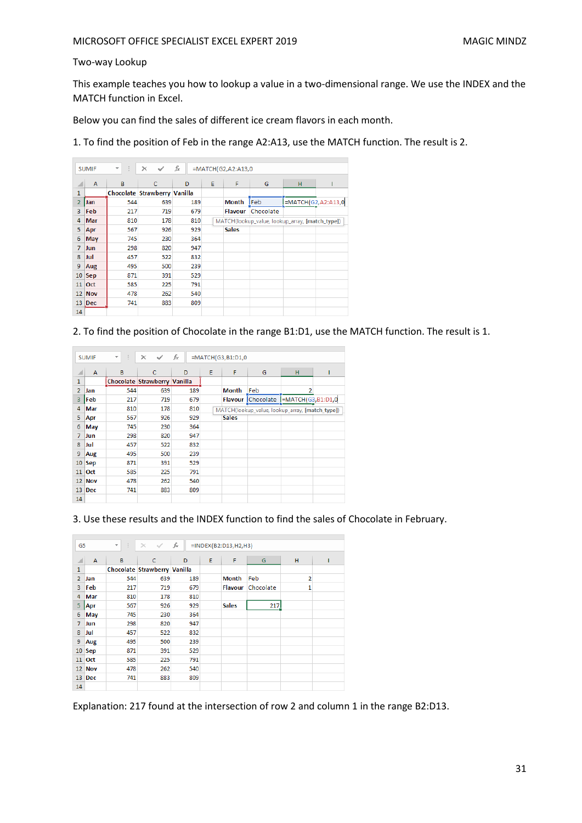## Two-way Lookup

This example teaches you how to lookup a value in a two-dimensional range. We use the INDEX and the MATCH function in Excel.

Below you can find the sales of different ice cream flavors in each month.

1. To find the position of Feb in the range A2:A13, use the MATCH function. The result is 2.

|                 | fx<br>÷<br>×<br>=MATCH(G2,A2:A13,0<br><b>SUMIF</b><br>$\overline{\phantom{a}}$ |     |                              |     |   |                |                                                 |                    |  |  |  |
|-----------------|--------------------------------------------------------------------------------|-----|------------------------------|-----|---|----------------|-------------------------------------------------|--------------------|--|--|--|
| ⊿               | A                                                                              | B   | c                            | D   | Ε | F              | G                                               | H                  |  |  |  |
| 1               |                                                                                |     | Chocolate Strawberry Vanilla |     |   |                |                                                 |                    |  |  |  |
| $\overline{2}$  | Jan                                                                            | 544 | 639                          | 189 |   | Month          | <b>Feb</b>                                      | =MATCH(G2,A2:A13,0 |  |  |  |
| 3               | Feb                                                                            | 217 | 719                          | 679 |   | <b>Flavour</b> | Chocolate                                       |                    |  |  |  |
| 4               | <b>Mar</b>                                                                     | 810 | 178                          | 810 |   |                | MATCH(lookup_value, lookup_array, [match_type]) |                    |  |  |  |
| 5               | Apr                                                                            | 567 | 926                          | 929 |   | <b>Sales</b>   |                                                 |                    |  |  |  |
| 6               | May                                                                            | 745 | 230                          | 364 |   |                |                                                 |                    |  |  |  |
| $\overline{7}$  | <b>Jun</b>                                                                     | 298 | 820                          | 947 |   |                |                                                 |                    |  |  |  |
| 8               | Jul                                                                            | 457 | 522                          | 832 |   |                |                                                 |                    |  |  |  |
| 9               | Aug                                                                            | 495 | 500                          | 239 |   |                |                                                 |                    |  |  |  |
| 10              | <b>Sep</b>                                                                     | 871 | 391                          | 529 |   |                |                                                 |                    |  |  |  |
| 11              | <b>Oct</b>                                                                     | 585 | 225                          | 791 |   |                |                                                 |                    |  |  |  |
|                 | 12 Nov                                                                         | 478 | 262                          | 540 |   |                |                                                 |                    |  |  |  |
| 13 <sup>°</sup> | Dec                                                                            | 741 | 883                          | 809 |   |                |                                                 |                    |  |  |  |
| 14              |                                                                                |     |                              |     |   |                |                                                 |                    |  |  |  |

2. To find the position of Chocolate in the range B1:D1, use the MATCH function. The result is 1.

|                 | <b>SUMIF</b> | ÷<br>$\overline{\phantom{a}}$ | $\times$<br>✓                | fx  |   | $=MATCH(G3,B1:D1,0$ |                                                 |   |  |  |  |  |
|-----------------|--------------|-------------------------------|------------------------------|-----|---|---------------------|-------------------------------------------------|---|--|--|--|--|
|                 | A            | B                             | c                            | D   | Ε | F                   | G                                               | H |  |  |  |  |
| 1               |              |                               | Chocolate Strawberry Vanilla |     |   |                     |                                                 |   |  |  |  |  |
| $\overline{2}$  | Jan          | 544                           | 639                          | 189 |   | <b>Month</b>        | Feb                                             | 2 |  |  |  |  |
| 3               | Feb          | 217                           | 719                          | 679 |   |                     | Flavour Chocolate  =MATCH(G3,B1:D1,0            |   |  |  |  |  |
| 4               | Mar          | 810                           | 178                          | 810 |   |                     | MATCH(lookup_value, lookup_array, [match_type]) |   |  |  |  |  |
| 5               | Apr          | 567                           | 926                          | 929 |   | <b>Sales</b>        |                                                 |   |  |  |  |  |
| 6               | May          | 745                           | 230                          | 364 |   |                     |                                                 |   |  |  |  |  |
| 7               | Jun          | 298                           | 820                          | 947 |   |                     |                                                 |   |  |  |  |  |
| 8               | Jul          | 457                           | 522                          | 832 |   |                     |                                                 |   |  |  |  |  |
| 9               | Aug          | 495                           | 500                          | 239 |   |                     |                                                 |   |  |  |  |  |
| 10              | Sep          | 871                           | 391                          | 529 |   |                     |                                                 |   |  |  |  |  |
| 11              | Oct          | 585                           | 225                          | 791 |   |                     |                                                 |   |  |  |  |  |
| 12              | <b>Nov</b>   | 478                           | 262                          | 540 |   |                     |                                                 |   |  |  |  |  |
| 13 <sup>7</sup> | <b>Dec</b>   | 741                           | 883                          | 809 |   |                     |                                                 |   |  |  |  |  |
| 14              |              |                               |                              |     |   |                     |                                                 |   |  |  |  |  |

3. Use these results and the INDEX function to find the sales of Chocolate in February.

| ÷.<br>G <sub>5</sub><br>$\overline{\phantom{a}}$ |               | $\times$<br>✓ | fx<br>$=$ INDEX(B2:D13,H2,H3) |     |   |              |           |                |  |
|--------------------------------------------------|---------------|---------------|-------------------------------|-----|---|--------------|-----------|----------------|--|
| ◢                                                | A             | B             | c                             | D   | E | F            | G         | н              |  |
| $\mathbf{1}$                                     |               |               | Chocolate Strawberry Vanilla  |     |   |              |           |                |  |
| $\overline{2}$                                   | Jan           | 544           | 639                           | 189 |   | <b>Month</b> | Feb       | $\overline{2}$ |  |
| 3                                                | Feb           | 217           | 719                           | 679 |   | Flavour      | Chocolate | 1              |  |
| 4                                                | Mar           | 810           | 178                           | 810 |   |              |           |                |  |
| 5                                                | Apr           | 567           | 926                           | 929 |   | <b>Sales</b> | 217       |                |  |
| 6                                                | May           | 745           | 230                           | 364 |   |              |           |                |  |
| $\overline{7}$                                   | Jun           | 298           | 820                           | 947 |   |              |           |                |  |
| 8                                                | Jul           | 457           | 522                           | 832 |   |              |           |                |  |
| 9                                                | Aug           | 495           | 500                           | 239 |   |              |           |                |  |
| 10                                               | Sep           | 871           | 391                           | 529 |   |              |           |                |  |
| 11                                               | <b>Oct</b>    | 585           | 225                           | 791 |   |              |           |                |  |
|                                                  | <b>12 Nov</b> | 478           | 262                           | 540 |   |              |           |                |  |
|                                                  | $13$ Dec      | 741           | 883                           | 809 |   |              |           |                |  |
| 14                                               |               |               |                               |     |   |              |           |                |  |

Explanation: 217 found at the intersection of row 2 and column 1 in the range B2:D13.